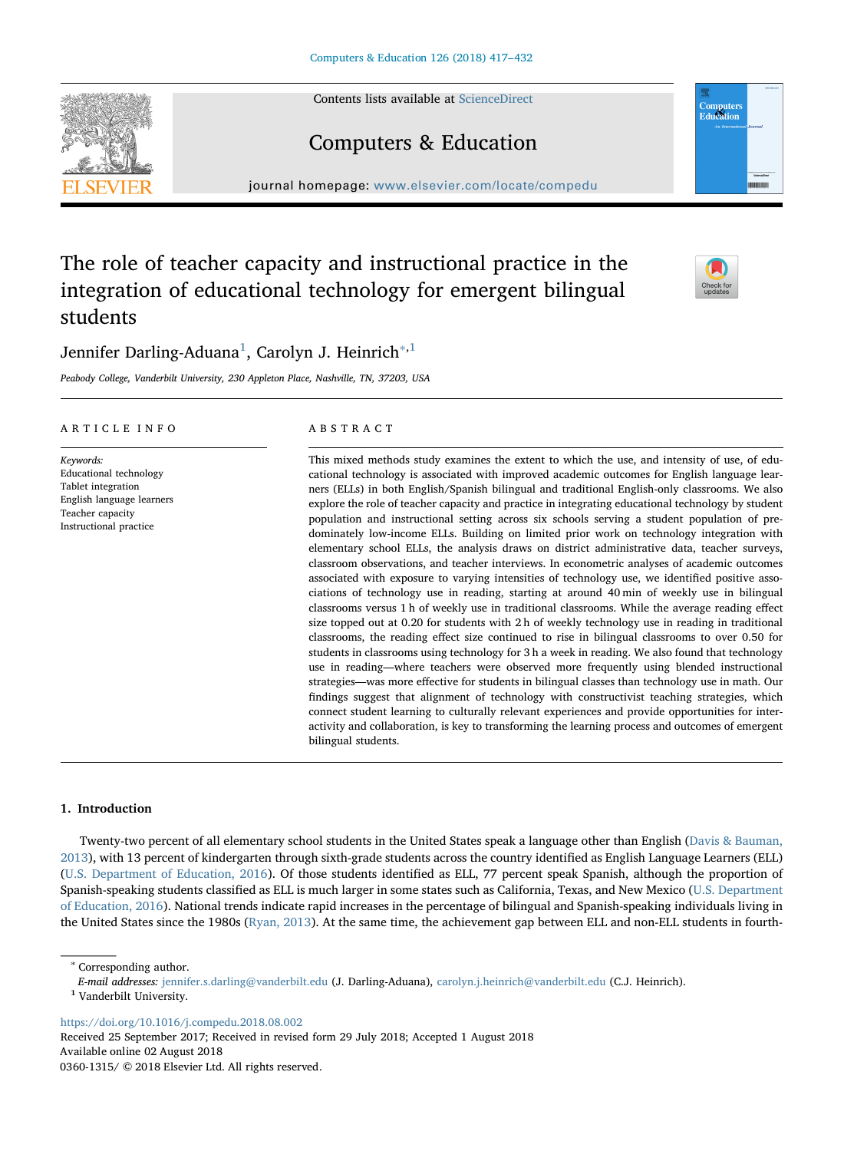Contents lists available at [ScienceDirect](http://www.sciencedirect.com/science/journal/03601315)

# Computers & Education

journal homepage: [www.elsevier.com/locate/compedu](https://www.elsevier.com/locate/compedu)

# The role of teacher capacity and instructional practice in the integration of educational technology for emergent bilingual students

Jennifer Darling-Aduana<sup>[1](#page-0-0)</sup>, Carolyn J. Heinrich<sup>[∗](#page-0-1), 1</sup>

Peabody College, Vanderbilt University, 230 Appleton Place, Nashville, TN, 37203, USA

## ARTICLE INFO

Keywords: Educational technology Tablet integration English language learners Teacher capacity Instructional practice

## ABSTRACT

This mixed methods study examines the extent to which the use, and intensity of use, of educational technology is associated with improved academic outcomes for English language learners (ELLs) in both English/Spanish bilingual and traditional English-only classrooms. We also explore the role of teacher capacity and practice in integrating educational technology by student population and instructional setting across six schools serving a student population of predominately low-income ELLs. Building on limited prior work on technology integration with elementary school ELLs, the analysis draws on district administrative data, teacher surveys, classroom observations, and teacher interviews. In econometric analyses of academic outcomes associated with exposure to varying intensities of technology use, we identified positive associations of technology use in reading, starting at around 40 min of weekly use in bilingual classrooms versus 1 h of weekly use in traditional classrooms. While the average reading effect size topped out at 0.20 for students with 2 h of weekly technology use in reading in traditional classrooms, the reading effect size continued to rise in bilingual classrooms to over 0.50 for students in classrooms using technology for 3 h a week in reading. We also found that technology use in reading—where teachers were observed more frequently using blended instructional strategies—was more effective for students in bilingual classes than technology use in math. Our findings suggest that alignment of technology with constructivist teaching strategies, which connect student learning to culturally relevant experiences and provide opportunities for interactivity and collaboration, is key to transforming the learning process and outcomes of emergent bilingual students.

### 1. Introduction

Twenty-two percent of all elementary school students in the United States speak a language other than English ([Davis & Bauman,](#page-14-0) [2013\)](#page-14-0), with 13 percent of kindergarten through sixth-grade students across the country identified as English Language Learners (ELL) ([U.S. Department of Education, 2016\)](#page-15-0). Of those students identified as ELL, 77 percent speak Spanish, although the proportion of Spanish-speaking students classified as ELL is much larger in some states such as California, Texas, and New Mexico [\(U.S. Department](#page-15-0) [of Education, 2016](#page-15-0)). National trends indicate rapid increases in the percentage of bilingual and Spanish-speaking individuals living in the United States since the 1980s [\(Ryan, 2013\)](#page-15-1). At the same time, the achievement gap between ELL and non-ELL students in fourth-

<span id="page-0-1"></span><sup>∗</sup> Corresponding author.

E-mail addresses: [jennifer.s.darling@vanderbilt.edu](mailto:jennifer.s.darling@vanderbilt.edu) (J. Darling-Aduana), [carolyn.j.heinrich@vanderbilt.edu](mailto:carolyn.j.heinrich@vanderbilt.edu) (C.J. Heinrich).

<span id="page-0-0"></span> $^{\rm 1}$ Vanderbilt University.

<https://doi.org/10.1016/j.compedu.2018.08.002>

Received 25 September 2017; Received in revised form 29 July 2018; Accepted 1 August 2018 Available online 02 August 2018 0360-1315/ © 2018 Elsevier Ltd. All rights reserved.





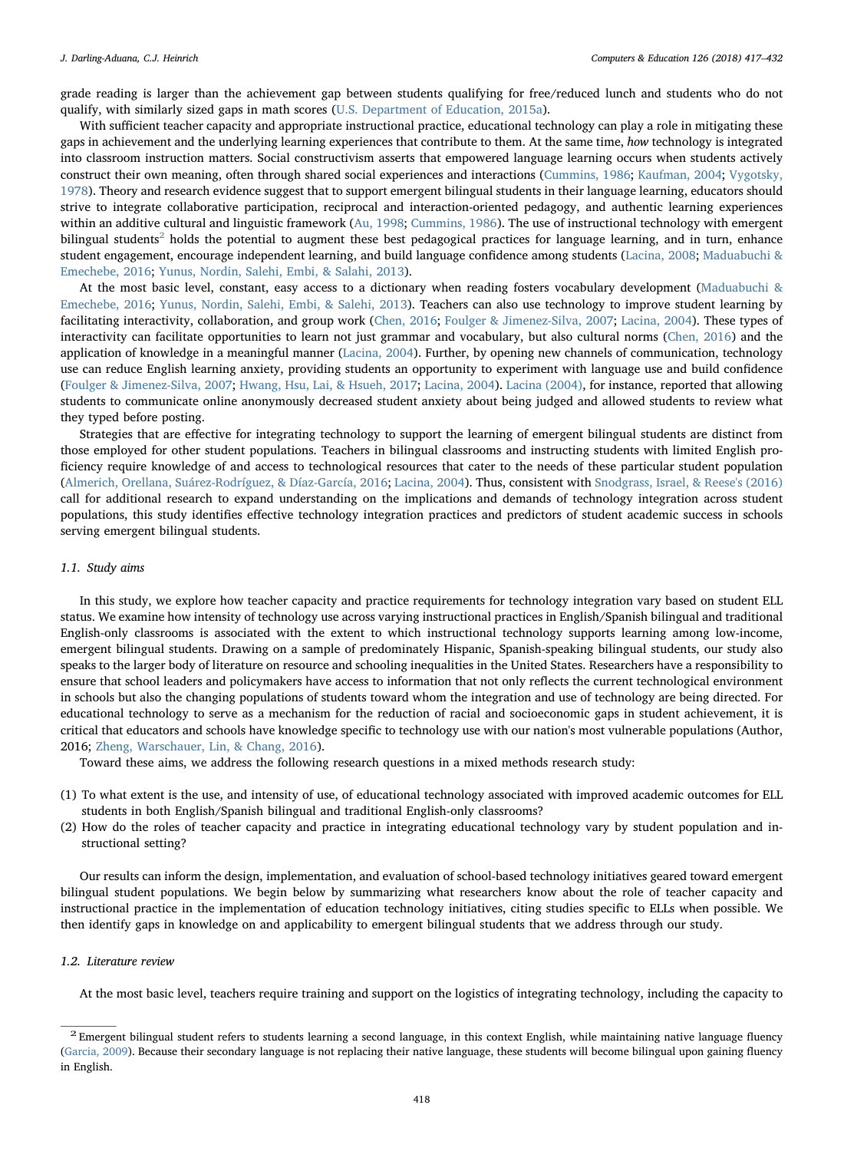grade reading is larger than the achievement gap between students qualifying for free/reduced lunch and students who do not qualify, with similarly sized gaps in math scores ([U.S. Department of Education, 2015a](#page-15-2)).

With sufficient teacher capacity and appropriate instructional practice, educational technology can play a role in mitigating these gaps in achievement and the underlying learning experiences that contribute to them. At the same time, how technology is integrated into classroom instruction matters. Social constructivism asserts that empowered language learning occurs when students actively construct their own meaning, often through shared social experiences and interactions [\(Cummins, 1986;](#page-14-1) [Kaufman, 2004;](#page-15-3) [Vygotsky,](#page-15-4) [1978\)](#page-15-4). Theory and research evidence suggest that to support emergent bilingual students in their language learning, educators should strive to integrate collaborative participation, reciprocal and interaction-oriented pedagogy, and authentic learning experiences within an additive cultural and linguistic framework ([Au, 1998;](#page-14-2) [Cummins, 1986\)](#page-14-1). The use of instructional technology with emergent bilingual students<sup>[2](#page-1-0)</sup> holds the potential to augment these best pedagogical practices for language learning, and in turn, enhance student engagement, encourage independent learning, and build language confidence among students ([Lacina, 2008](#page-15-5); [Maduabuchi &](#page-15-6) [Emechebe, 2016;](#page-15-6) [Yunus, Nordin, Salehi, Embi, & Salahi, 2013\)](#page-15-7).

At the most basic level, constant, easy access to a dictionary when reading fosters vocabulary development [\(Maduabuchi &](#page-15-6) [Emechebe, 2016;](#page-15-6) [Yunus, Nordin, Salehi, Embi, & Salehi, 2013\)](#page-15-7). Teachers can also use technology to improve student learning by facilitating interactivity, collaboration, and group work ([Chen, 2016](#page-14-3); [Foulger & Jimenez-Silva, 2007](#page-14-4); [Lacina, 2004\)](#page-15-8). These types of interactivity can facilitate opportunities to learn not just grammar and vocabulary, but also cultural norms ([Chen, 2016](#page-14-3)) and the application of knowledge in a meaningful manner [\(Lacina, 2004\)](#page-15-8). Further, by opening new channels of communication, technology use can reduce English learning anxiety, providing students an opportunity to experiment with language use and build confidence ([Foulger & Jimenez-Silva, 2007](#page-14-4); [Hwang, Hsu, Lai, & Hsueh, 2017](#page-14-5); [Lacina, 2004](#page-15-8)). [Lacina \(2004\),](#page-15-8) for instance, reported that allowing students to communicate online anonymously decreased student anxiety about being judged and allowed students to review what they typed before posting.

Strategies that are effective for integrating technology to support the learning of emergent bilingual students are distinct from those employed for other student populations. Teachers in bilingual classrooms and instructing students with limited English proficiency require knowledge of and access to technological resources that cater to the needs of these particular student population ([Almerich, Orellana, Suárez-Rodríguez, & Díaz-García, 2016](#page-14-6); [Lacina, 2004\)](#page-15-8). Thus, consistent with [Snodgrass, Israel, & Reese's \(2016\)](#page-15-9) call for additional research to expand understanding on the implications and demands of technology integration across student populations, this study identifies effective technology integration practices and predictors of student academic success in schools serving emergent bilingual students.

## 1.1. Study aims

In this study, we explore how teacher capacity and practice requirements for technology integration vary based on student ELL status. We examine how intensity of technology use across varying instructional practices in English/Spanish bilingual and traditional English-only classrooms is associated with the extent to which instructional technology supports learning among low-income, emergent bilingual students. Drawing on a sample of predominately Hispanic, Spanish-speaking bilingual students, our study also speaks to the larger body of literature on resource and schooling inequalities in the United States. Researchers have a responsibility to ensure that school leaders and policymakers have access to information that not only reflects the current technological environment in schools but also the changing populations of students toward whom the integration and use of technology are being directed. For educational technology to serve as a mechanism for the reduction of racial and socioeconomic gaps in student achievement, it is critical that educators and schools have knowledge specific to technology use with our nation's most vulnerable populations (Author, 2016; [Zheng, Warschauer, Lin, & Chang, 2016](#page-15-10)).

Toward these aims, we address the following research questions in a mixed methods research study:

- (1) To what extent is the use, and intensity of use, of educational technology associated with improved academic outcomes for ELL students in both English/Spanish bilingual and traditional English-only classrooms?
- (2) How do the roles of teacher capacity and practice in integrating educational technology vary by student population and instructional setting?

Our results can inform the design, implementation, and evaluation of school-based technology initiatives geared toward emergent bilingual student populations. We begin below by summarizing what researchers know about the role of teacher capacity and instructional practice in the implementation of education technology initiatives, citing studies specific to ELLs when possible. We then identify gaps in knowledge on and applicability to emergent bilingual students that we address through our study.

#### 1.2. Literature review

At the most basic level, teachers require training and support on the logistics of integrating technology, including the capacity to

<span id="page-1-0"></span> $2$  Emergent bilingual student refers to students learning a second language, in this context English, while maintaining native language fluency ([Garcia, 2009](#page-14-7)). Because their secondary language is not replacing their native language, these students will become bilingual upon gaining fluency in English.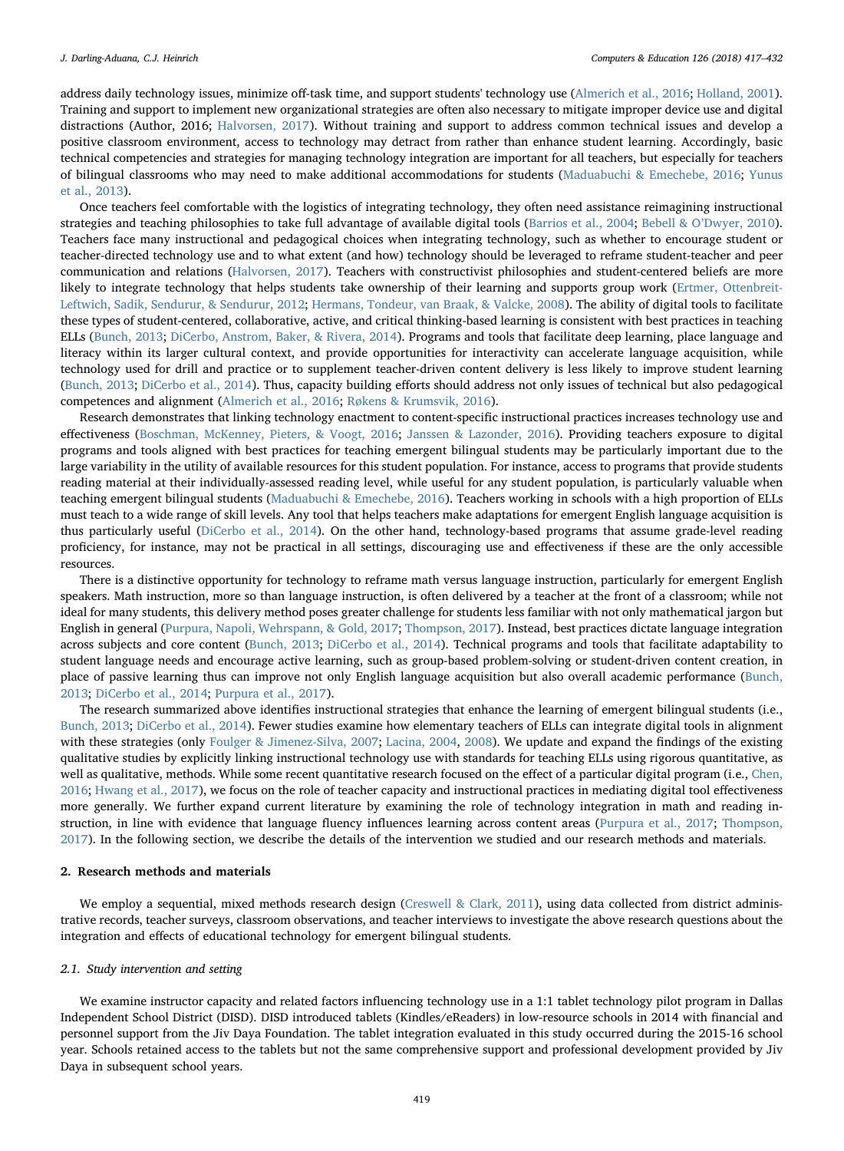address daily technology issues, minimize off-task time, and support students' technology use [\(Almerich et al., 2016](#page-14-6); [Holland, 2001\)](#page-14-8). Training and support to implement new organizational strategies are often also necessary to mitigate improper device use and digital distractions (Author, 2016; [Halvorsen, 2017\)](#page-14-9). Without training and support to address common technical issues and develop a positive classroom environment, access to technology may detract from rather than enhance student learning. Accordingly, basic technical competencies and strategies for managing technology integration are important for all teachers, but especially for teachers of bilingual classrooms who may need to make additional accommodations for students [\(Maduabuchi & Emechebe, 2016](#page-15-6); [Yunus](#page-15-7) [et al., 2013\)](#page-15-7).

Once teachers feel comfortable with the logistics of integrating technology, they often need assistance reimagining instructional strategies and teaching philosophies to take full advantage of available digital tools [\(Barrios et al., 2004](#page-14-10); Bebell & O'[Dwyer, 2010\)](#page-14-11). Teachers face many instructional and pedagogical choices when integrating technology, such as whether to encourage student or teacher-directed technology use and to what extent (and how) technology should be leveraged to reframe student-teacher and peer communication and relations ([Halvorsen, 2017\)](#page-14-9). Teachers with constructivist philosophies and student-centered beliefs are more likely to integrate technology that helps students take ownership of their learning and supports group work ([Ertmer, Ottenbreit-](#page-14-12)[Leftwich, Sadik, Sendurur, & Sendurur, 2012;](#page-14-12) [Hermans, Tondeur, van Braak, & Valcke, 2008](#page-14-13)). The ability of digital tools to facilitate these types of student-centered, collaborative, active, and critical thinking-based learning is consistent with best practices in teaching ELLs ([Bunch, 2013](#page-14-14); [DiCerbo, Anstrom, Baker, & Rivera, 2014](#page-14-15)). Programs and tools that facilitate deep learning, place language and literacy within its larger cultural context, and provide opportunities for interactivity can accelerate language acquisition, while technology used for drill and practice or to supplement teacher-driven content delivery is less likely to improve student learning ([Bunch, 2013;](#page-14-14) [DiCerbo et al., 2014\)](#page-14-15). Thus, capacity building efforts should address not only issues of technical but also pedagogical competences and alignment ([Almerich et al., 2016](#page-14-6); [Røkens & Krumsvik, 2016\)](#page-15-11).

Research demonstrates that linking technology enactment to content-specific instructional practices increases technology use and effectiveness [\(Boschman, McKenney, Pieters, & Voogt, 2016](#page-14-16); [Janssen & Lazonder, 2016](#page-14-17)). Providing teachers exposure to digital programs and tools aligned with best practices for teaching emergent bilingual students may be particularly important due to the large variability in the utility of available resources for this student population. For instance, access to programs that provide students reading material at their individually-assessed reading level, while useful for any student population, is particularly valuable when teaching emergent bilingual students ([Maduabuchi & Emechebe, 2016](#page-15-6)). Teachers working in schools with a high proportion of ELLs must teach to a wide range of skill levels. Any tool that helps teachers make adaptations for emergent English language acquisition is thus particularly useful ([DiCerbo et al., 2014\)](#page-14-15). On the other hand, technology-based programs that assume grade-level reading proficiency, for instance, may not be practical in all settings, discouraging use and effectiveness if these are the only accessible resources.

There is a distinctive opportunity for technology to reframe math versus language instruction, particularly for emergent English speakers. Math instruction, more so than language instruction, is often delivered by a teacher at the front of a classroom; while not ideal for many students, this delivery method poses greater challenge for students less familiar with not only mathematical jargon but English in general ([Purpura, Napoli, Wehrspann, & Gold, 2017](#page-15-12); [Thompson, 2017](#page-15-13)). Instead, best practices dictate language integration across subjects and core content ([Bunch, 2013](#page-14-14); [DiCerbo et al., 2014\)](#page-14-15). Technical programs and tools that facilitate adaptability to student language needs and encourage active learning, such as group-based problem-solving or student-driven content creation, in place of passive learning thus can improve not only English language acquisition but also overall academic performance ([Bunch,](#page-14-14) [2013;](#page-14-14) DiCerbo [et al., 2014;](#page-14-15) [Purpura et al., 2017\)](#page-15-12).

The research summarized above identifies instructional strategies that enhance the learning of emergent bilingual students (i.e., [Bunch, 2013;](#page-14-14) [DiCerbo et al., 2014](#page-14-15)). Fewer studies examine how elementary teachers of ELLs can integrate digital tools in alignment with these strategies (only [Foulger & Jimenez-Silva, 2007](#page-14-4); [Lacina, 2004,](#page-15-8) [2008\)](#page-15-5). We update and expand the findings of the existing qualitative studies by explicitly linking instructional technology use with standards for teaching ELLs using rigorous quantitative, as well as qualitative, methods. While some recent quantitative research focused on the effect of a particular digital program (i.e., [Chen,](#page-14-3) [2016;](#page-14-3) [Hwang et al., 2017](#page-14-5)), we focus on the role of teacher capacity and instructional practices in mediating digital tool effectiveness more generally. We further expand current literature by examining the role of technology integration in math and reading instruction, in line with evidence that language fluency influences learning across content areas [\(Purpura et al., 2017;](#page-15-12) [Thompson,](#page-15-13) [2017\)](#page-15-13). In the following section, we describe the details of the intervention we studied and our research methods and materials.

## 2. Research methods and materials

We employ a sequential, mixed methods research design [\(Creswell & Clark, 2011\)](#page-14-18), using data collected from district administrative records, teacher surveys, classroom observations, and teacher interviews to investigate the above research questions about the integration and effects of educational technology for emergent bilingual students.

#### 2.1. Study intervention and setting

We examine instructor capacity and related factors influencing technology use in a 1:1 tablet technology pilot program in Dallas Independent School District (DISD). DISD introduced tablets (Kindles/eReaders) in low-resource schools in 2014 with financial and personnel support from the Jiv Daya Foundation. The tablet integration evaluated in this study occurred during the 2015-16 school year. Schools retained access to the tablets but not the same comprehensive support and professional development provided by Jiv Daya in subsequent school years.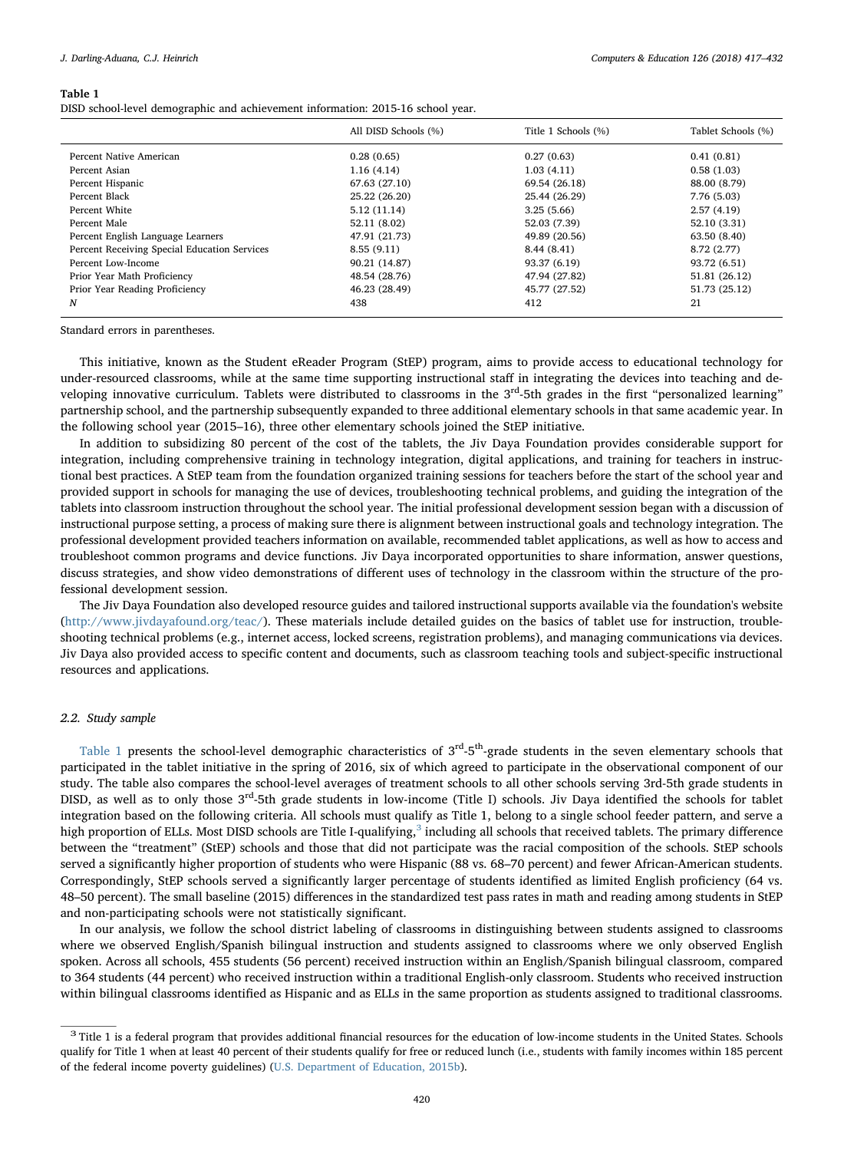#### <span id="page-3-0"></span>Table 1

DISD school-level demographic and achievement information: 2015-16 school year.

|                                              | All DISD Schools (%) | Title 1 Schools (%) | Tablet Schools (%) |  |
|----------------------------------------------|----------------------|---------------------|--------------------|--|
| Percent Native American                      | 0.28(0.65)           | 0.27(0.63)          | 0.41(0.81)         |  |
| Percent Asian                                | 1.16(4.14)           | 1.03(4.11)          | 0.58(1.03)         |  |
| Percent Hispanic                             | 67.63 (27.10)        | 69.54 (26.18)       | 88.00 (8.79)       |  |
| Percent Black                                | 25.22 (26.20)        | 25.44 (26.29)       | 7.76 (5.03)        |  |
| Percent White                                | 5.12(11.14)          | 3.25(5.66)          | 2.57(4.19)         |  |
| Percent Male                                 | 52.11 (8.02)         | 52.03 (7.39)        | 52.10 (3.31)       |  |
| Percent English Language Learners            | 47.91 (21.73)        | 49.89 (20.56)       | 63.50 (8.40)       |  |
| Percent Receiving Special Education Services | 8.55(9.11)           | 8.44(8.41)          | 8.72 (2.77)        |  |
| Percent Low-Income                           | 90.21 (14.87)        | 93.37 (6.19)        | 93.72 (6.51)       |  |
| Prior Year Math Proficiency                  | 48.54 (28.76)        | 47.94 (27.82)       | 51.81 (26.12)      |  |
| Prior Year Reading Proficiency               | 46.23 (28.49)        | 45.77 (27.52)       | 51.73 (25.12)      |  |
| N                                            | 438                  | 412                 | 21                 |  |

Standard errors in parentheses.

This initiative, known as the Student eReader Program (StEP) program, aims to provide access to educational technology for under-resourced classrooms, while at the same time supporting instructional staff in integrating the devices into teaching and developing innovative curriculum. Tablets were distributed to classrooms in the  $3<sup>rd</sup>$ -5th grades in the first "personalized learning" partnership school, and the partnership subsequently expanded to three additional elementary schools in that same academic year. In the following school year (2015–16), three other elementary schools joined the StEP initiative.

In addition to subsidizing 80 percent of the cost of the tablets, the Jiv Daya Foundation provides considerable support for integration, including comprehensive training in technology integration, digital applications, and training for teachers in instructional best practices. A StEP team from the foundation organized training sessions for teachers before the start of the school year and provided support in schools for managing the use of devices, troubleshooting technical problems, and guiding the integration of the tablets into classroom instruction throughout the school year. The initial professional development session began with a discussion of instructional purpose setting, a process of making sure there is alignment between instructional goals and technology integration. The professional development provided teachers information on available, recommended tablet applications, as well as how to access and troubleshoot common programs and device functions. Jiv Daya incorporated opportunities to share information, answer questions, discuss strategies, and show video demonstrations of different uses of technology in the classroom within the structure of the professional development session.

The Jiv Daya Foundation also developed resource guides and tailored instructional supports available via the foundation's website ([http://www.jivdayafound.org/teac/\)](http://www.jivdayafound.org/teac/). These materials include detailed guides on the basics of tablet use for instruction, troubleshooting technical problems (e.g., internet access, locked screens, registration problems), and managing communications via devices. Jiv Daya also provided access to specific content and documents, such as classroom teaching tools and subject-specific instructional resources and applications.

### 2.2. Study sample

[Table 1](#page-3-0) presents the school-level demographic characteristics of  $3<sup>rd</sup>-5<sup>th</sup>$ -grade students in the seven elementary schools that participated in the tablet initiative in the spring of 2016, six of which agreed to participate in the observational component of our study. The table also compares the school-level averages of treatment schools to all other schools serving 3rd-5th grade students in DISD, as well as to only those 3<sup>rd</sup>-5th grade students in low-income (Title I) schools. Jiv Daya identified the schools for tablet integration based on the following criteria. All schools must qualify as Title 1, belong to a single school feeder pattern, and serve a high proportion of ELLs. Most DISD schools are Title I-qualifying,<sup>[3](#page-3-1)</sup> including all schools that received tablets. The primary difference between the "treatment" (StEP) schools and those that did not participate was the racial composition of the schools. StEP schools served a significantly higher proportion of students who were Hispanic (88 vs. 68–70 percent) and fewer African-American students. Correspondingly, StEP schools served a significantly larger percentage of students identified as limited English proficiency (64 vs. 48–50 percent). The small baseline (2015) differences in the standardized test pass rates in math and reading among students in StEP and non-participating schools were not statistically significant.

In our analysis, we follow the school district labeling of classrooms in distinguishing between students assigned to classrooms where we observed English/Spanish bilingual instruction and students assigned to classrooms where we only observed English spoken. Across all schools, 455 students (56 percent) received instruction within an English/Spanish bilingual classroom, compared to 364 students (44 percent) who received instruction within a traditional English-only classroom. Students who received instruction within bilingual classrooms identified as Hispanic and as ELLs in the same proportion as students assigned to traditional classrooms.

<span id="page-3-1"></span><sup>&</sup>lt;sup>3</sup> Title 1 is a federal program that provides additional financial resources for the education of low-income students in the United States. Schools qualify for Title 1 when at least 40 percent of their students qualify for free or reduced lunch (i.e., students with family incomes within 185 percent of the federal income poverty guidelines) ([U.S. Department of Education, 2015b\)](#page-15-14).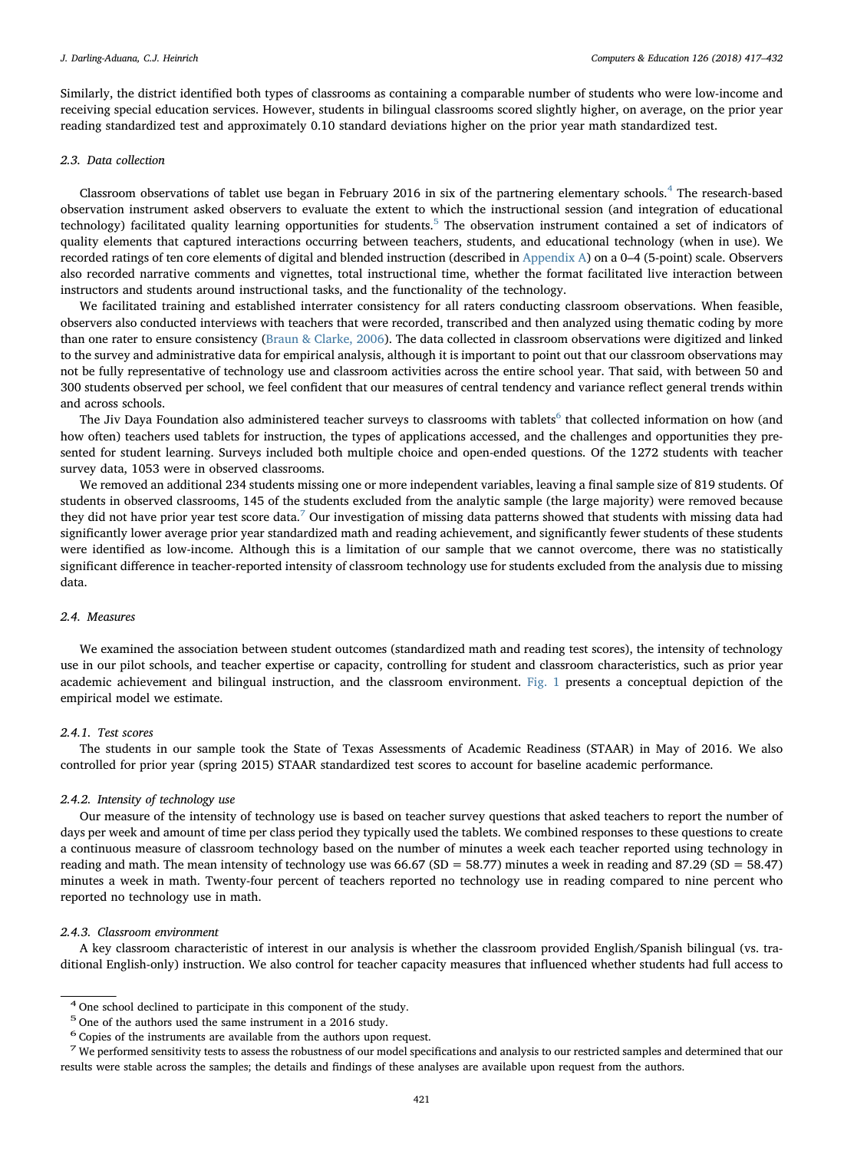Similarly, the district identified both types of classrooms as containing a comparable number of students who were low-income and receiving special education services. However, students in bilingual classrooms scored slightly higher, on average, on the prior year reading standardized test and approximately 0.10 standard deviations higher on the prior year math standardized test.

## 2.3. Data collection

Classroom observations of tablet use began in February 2016 in six of the partnering elementary schools.[4](#page-4-0) The research-based observation instrument asked observers to evaluate the extent to which the instructional session (and integration of educational technology) facilitated quality learning opportunities for students.<sup>[5](#page-4-1)</sup> The observation instrument contained a set of indicators of quality elements that captured interactions occurring between teachers, students, and educational technology (when in use). We recorded ratings of ten core elements of digital and blended instruction (described in [Appendix A](#page-13-0)) on a 0–4 (5-point) scale. Observers also recorded narrative comments and vignettes, total instructional time, whether the format facilitated live interaction between instructors and students around instructional tasks, and the functionality of the technology.

We facilitated training and established interrater consistency for all raters conducting classroom observations. When feasible, observers also conducted interviews with teachers that were recorded, transcribed and then analyzed using thematic coding by more than one rater to ensure consistency ([Braun & Clarke, 2006\)](#page-14-19). The data collected in classroom observations were digitized and linked to the survey and administrative data for empirical analysis, although it is important to point out that our classroom observations may not be fully representative of technology use and classroom activities across the entire school year. That said, with between 50 and 300 students observed per school, we feel confident that our measures of central tendency and variance reflect general trends within and across schools.

The Jiv Daya Foundation also administered teacher surveys to classrooms with tablets<sup>[6](#page-4-2)</sup> that collected information on how (and how often) teachers used tablets for instruction, the types of applications accessed, and the challenges and opportunities they presented for student learning. Surveys included both multiple choice and open-ended questions. Of the 1272 students with teacher survey data, 1053 were in observed classrooms.

We removed an additional 234 students missing one or more independent variables, leaving a final sample size of 819 students. Of students in observed classrooms, 145 of the students excluded from the analytic sample (the large majority) were removed because they did not have prior year test score data.<sup>[7](#page-4-3)</sup> Our investigation of missing data patterns showed that students with missing data had significantly lower average prior year standardized math and reading achievement, and significantly fewer students of these students were identified as low-income. Although this is a limitation of our sample that we cannot overcome, there was no statistically significant difference in teacher-reported intensity of classroom technology use for students excluded from the analysis due to missing data.

## 2.4. Measures

We examined the association between student outcomes (standardized math and reading test scores), the intensity of technology use in our pilot schools, and teacher expertise or capacity, controlling for student and classroom characteristics, such as prior year academic achievement and bilingual instruction, and the classroom environment. [Fig. 1](#page-5-0) presents a conceptual depiction of the empirical model we estimate.

## 2.4.1. Test scores

The students in our sample took the State of Texas Assessments of Academic Readiness (STAAR) in May of 2016. We also controlled for prior year (spring 2015) STAAR standardized test scores to account for baseline academic performance.

#### 2.4.2. Intensity of technology use

Our measure of the intensity of technology use is based on teacher survey questions that asked teachers to report the number of days per week and amount of time per class period they typically used the tablets. We combined responses to these questions to create a continuous measure of classroom technology based on the number of minutes a week each teacher reported using technology in reading and math. The mean intensity of technology use was 66.67 (SD = 58.77) minutes a week in reading and 87.29 (SD = 58.47) minutes a week in math. Twenty-four percent of teachers reported no technology use in reading compared to nine percent who reported no technology use in math.

## 2.4.3. Classroom environment

A key classroom characteristic of interest in our analysis is whether the classroom provided English/Spanish bilingual (vs. traditional English-only) instruction. We also control for teacher capacity measures that influenced whether students had full access to

<span id="page-4-0"></span><sup>4</sup> One school declined to participate in this component of the study.

<span id="page-4-1"></span> $5$  One of the authors used the same instrument in a 2016 study.

<span id="page-4-2"></span><sup>6</sup> Copies of the instruments are available from the authors upon request.

<span id="page-4-3"></span> $\sigma$  We performed sensitivity tests to assess the robustness of our model specifications and analysis to our restricted samples and determined that our results were stable across the samples; the details and findings of these analyses are available upon request from the authors.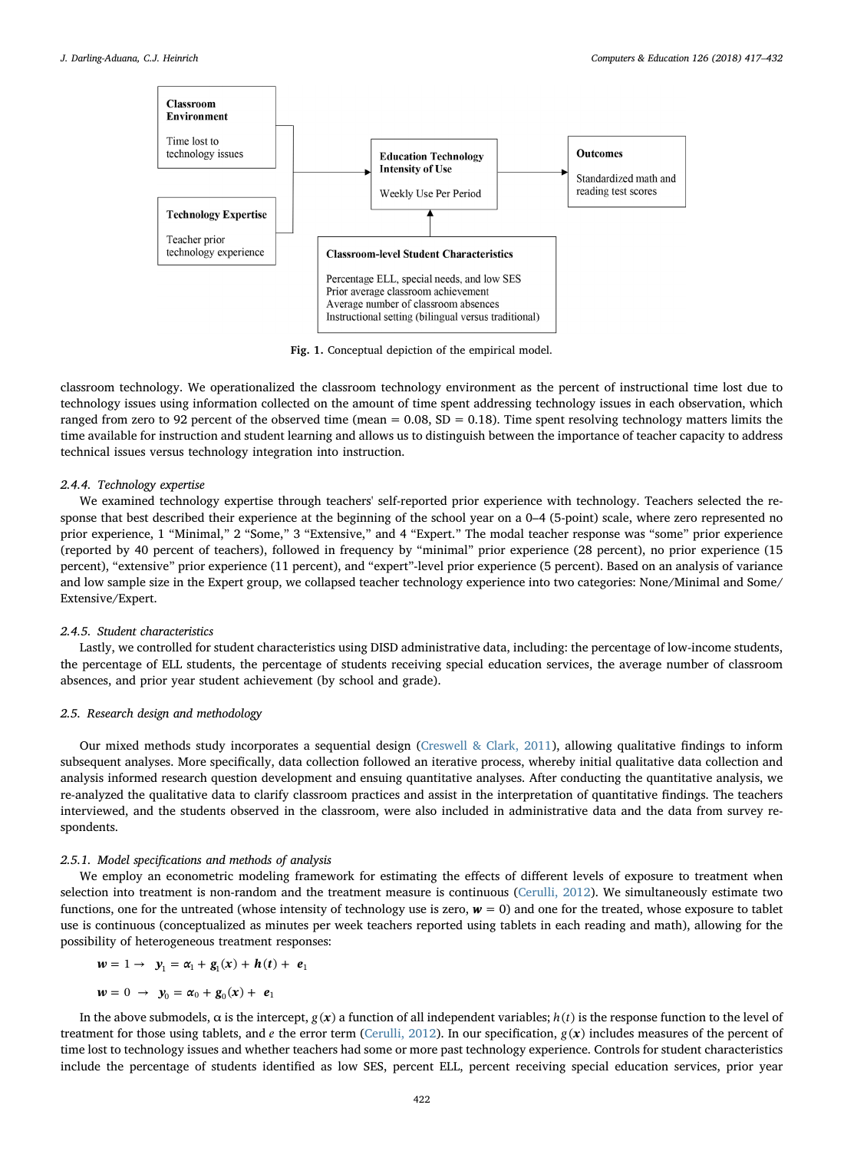<span id="page-5-0"></span>

Fig. 1. Conceptual depiction of the empirical model.

classroom technology. We operationalized the classroom technology environment as the percent of instructional time lost due to technology issues using information collected on the amount of time spent addressing technology issues in each observation, which ranged from zero to 92 percent of the observed time (mean = 0.08, SD = 0.18). Time spent resolving technology matters limits the time available for instruction and student learning and allows us to distinguish between the importance of teacher capacity to address technical issues versus technology integration into instruction.

### 2.4.4. Technology expertise

We examined technology expertise through teachers' self-reported prior experience with technology. Teachers selected the response that best described their experience at the beginning of the school year on a 0–4 (5-point) scale, where zero represented no prior experience, 1 "Minimal," 2 "Some," 3 "Extensive," and 4 "Expert." The modal teacher response was "some" prior experience (reported by 40 percent of teachers), followed in frequency by "minimal" prior experience (28 percent), no prior experience (15 percent), "extensive" prior experience (11 percent), and "expert"-level prior experience (5 percent). Based on an analysis of variance and low sample size in the Expert group, we collapsed teacher technology experience into two categories: None/Minimal and Some/ Extensive/Expert.

### 2.4.5. Student characteristics

Lastly, we controlled for student characteristics using DISD administrative data, including: the percentage of low-income students, the percentage of ELL students, the percentage of students receiving special education services, the average number of classroom absences, and prior year student achievement (by school and grade).

### 2.5. Research design and methodology

Our mixed methods study incorporates a sequential design ([Creswell & Clark, 2011](#page-14-18)), allowing qualitative findings to inform subsequent analyses. More specifically, data collection followed an iterative process, whereby initial qualitative data collection and analysis informed research question development and ensuing quantitative analyses. After conducting the quantitative analysis, we re-analyzed the qualitative data to clarify classroom practices and assist in the interpretation of quantitative findings. The teachers interviewed, and the students observed in the classroom, were also included in administrative data and the data from survey respondents.

### 2.5.1. Model specifications and methods of analysis

We employ an econometric modeling framework for estimating the effects of different levels of exposure to treatment when selection into treatment is non-random and the treatment measure is continuous [\(Cerulli, 2012](#page-14-20)). We simultaneously estimate two functions, one for the untreated (whose intensity of technology use is zero,  $w = 0$ ) and one for the treated, whose exposure to tablet use is continuous (conceptualized as minutes per week teachers reported using tablets in each reading and math), allowing for the possibility of heterogeneous treatment responses:

$$
w = 1 \rightarrow y_1 = \alpha_1 + g_1(x) + h(t) + e_1
$$

$$
\mathbf{w} = 0 \rightarrow \mathbf{y}_0 = \alpha_0 + \mathbf{g}_0(\mathbf{x}) + \mathbf{e}_1
$$

In the above submodels,  $\alpha$  is the intercept,  $g(x)$  a function of all independent variables;  $h(t)$  is the response function to the level of treatment for those using tablets, and  $e$  the error term [\(Cerulli, 2012](#page-14-20)). In our specification,  $g(x)$  includes measures of the percent of time lost to technology issues and whether teachers had some or more past technology experience. Controls for student characteristics include the percentage of students identified as low SES, percent ELL, percent receiving special education services, prior year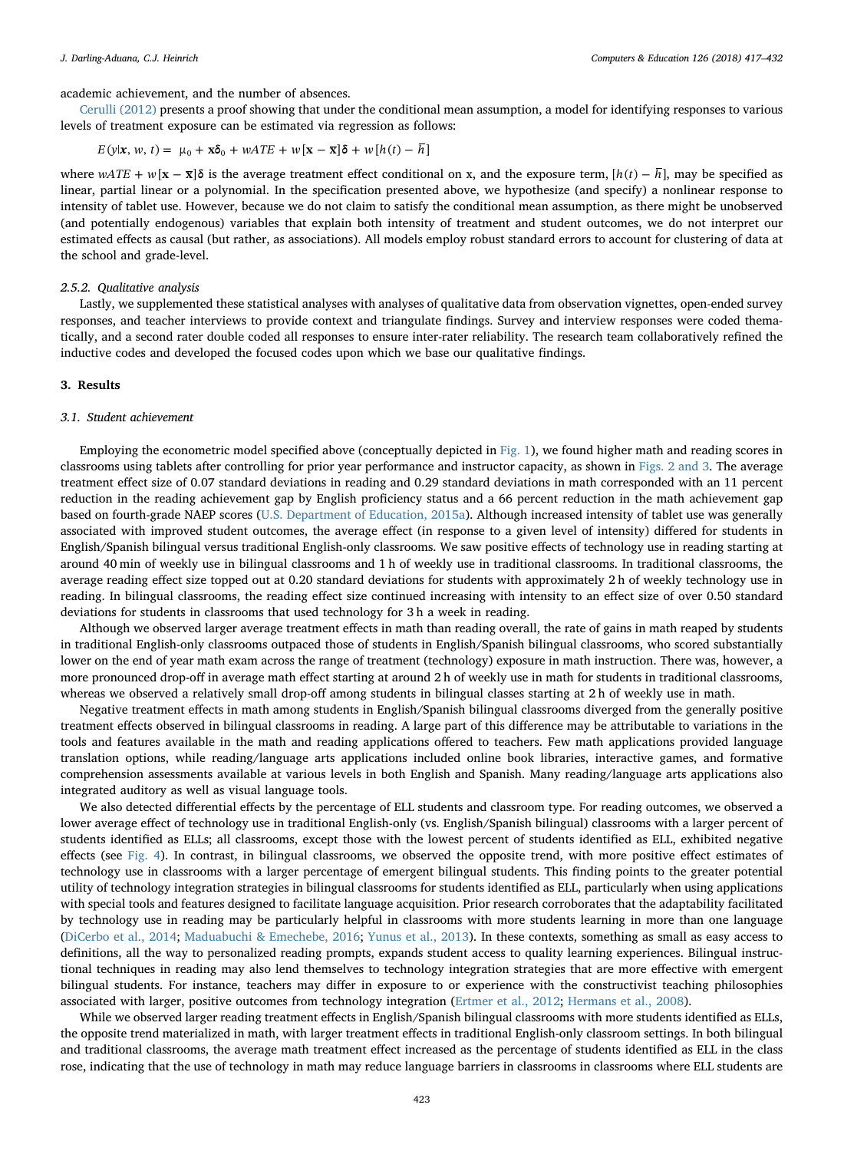academic achievement, and the number of absences.

[Cerulli \(2012\)](#page-14-20) presents a proof showing that under the conditional mean assumption, a model for identifying responses to various levels of treatment exposure can be estimated via regression as follows:

$$
E(y|\mathbf{x}, w, t) = \mu_0 + \mathbf{x}\delta_0 + wATE + w[\mathbf{x} - \overline{\mathbf{x}}]\delta + w[h(t) - \overline{h}]
$$

where *wATE* + *w* [**x** − **x**]δ is the average treatment effect conditional on x, and the exposure term, [*h*(*t*) − *h*], may be specified as linear, partial linear or a polynomial. In the specification presented above, we hypothesize (and specify) a nonlinear response to intensity of tablet use. However, because we do not claim to satisfy the conditional mean assumption, as there might be unobserved (and potentially endogenous) variables that explain both intensity of treatment and student outcomes, we do not interpret our estimated effects as causal (but rather, as associations). All models employ robust standard errors to account for clustering of data at the school and grade-level.

## 2.5.2. Qualitative analysis

Lastly, we supplemented these statistical analyses with analyses of qualitative data from observation vignettes, open-ended survey responses, and teacher interviews to provide context and triangulate findings. Survey and interview responses were coded thematically, and a second rater double coded all responses to ensure inter-rater reliability. The research team collaboratively refined the inductive codes and developed the focused codes upon which we base our qualitative findings.

## 3. Results

#### 3.1. Student achievement

Employing the econometric model specified above (conceptually depicted in [Fig. 1\)](#page-5-0), we found higher math and reading scores in classrooms using tablets after controlling for prior year performance and instructor capacity, as shown in [Figs. 2 and 3.](#page-7-0) The average treatment effect size of 0.07 standard deviations in reading and 0.29 standard deviations in math corresponded with an 11 percent reduction in the reading achievement gap by English proficiency status and a 66 percent reduction in the math achievement gap based on fourth-grade NAEP scores [\(U.S. Department of Education, 2015a](#page-15-2)). Although increased intensity of tablet use was generally associated with improved student outcomes, the average effect (in response to a given level of intensity) differed for students in English/Spanish bilingual versus traditional English-only classrooms. We saw positive effects of technology use in reading starting at around 40 min of weekly use in bilingual classrooms and 1 h of weekly use in traditional classrooms. In traditional classrooms, the average reading effect size topped out at 0.20 standard deviations for students with approximately 2 h of weekly technology use in reading. In bilingual classrooms, the reading effect size continued increasing with intensity to an effect size of over 0.50 standard deviations for students in classrooms that used technology for 3 h a week in reading.

Although we observed larger average treatment effects in math than reading overall, the rate of gains in math reaped by students in traditional English-only classrooms outpaced those of students in English/Spanish bilingual classrooms, who scored substantially lower on the end of year math exam across the range of treatment (technology) exposure in math instruction. There was, however, a more pronounced drop-off in average math effect starting at around 2 h of weekly use in math for students in traditional classrooms, whereas we observed a relatively small drop-off among students in bilingual classes starting at 2 h of weekly use in math.

Negative treatment effects in math among students in English/Spanish bilingual classrooms diverged from the generally positive treatment effects observed in bilingual classrooms in reading. A large part of this difference may be attributable to variations in the tools and features available in the math and reading applications offered to teachers. Few math applications provided language translation options, while reading/language arts applications included online book libraries, interactive games, and formative comprehension assessments available at various levels in both English and Spanish. Many reading/language arts applications also integrated auditory as well as visual language tools.

We also detected differential effects by the percentage of ELL students and classroom type. For reading outcomes, we observed a lower average effect of technology use in traditional English-only (vs. English/Spanish bilingual) classrooms with a larger percent of students identified as ELLs; all classrooms, except those with the lowest percent of students identified as ELL, exhibited negative effects (see [Fig.](#page-9-0) 4). In contrast, in bilingual classrooms, we observed the opposite trend, with more positive effect estimates of technology use in classrooms with a larger percentage of emergent bilingual students. This finding points to the greater potential utility of technology integration strategies in bilingual classrooms for students identified as ELL, particularly when using applications with special tools and features designed to facilitate language acquisition. Prior research corroborates that the adaptability facilitated by technology use in reading may be particularly helpful in classrooms with more students learning in more than one language ([DiCerbo et al., 2014](#page-14-15); [Maduabuchi & Emechebe, 2016](#page-15-6); [Yunus et al., 2013\)](#page-15-7). In these contexts, something as small as easy access to definitions, all the way to personalized reading prompts, expands student access to quality learning experiences. Bilingual instructional techniques in reading may also lend themselves to technology integration strategies that are more effective with emergent bilingual students. For instance, teachers may differ in exposure to or experience with the constructivist teaching philosophies associated with larger, positive outcomes from technology integration ([Ertmer et al., 2012;](#page-14-12) [Hermans et al., 2008](#page-14-13)).

While we observed larger reading treatment effects in English/Spanish bilingual classrooms with more students identified as ELLs, the opposite trend materialized in math, with larger treatment effects in traditional English-only classroom settings. In both bilingual and traditional classrooms, the average math treatment effect increased as the percentage of students identified as ELL in the class rose, indicating that the use of technology in math may reduce language barriers in classrooms in classrooms where ELL students are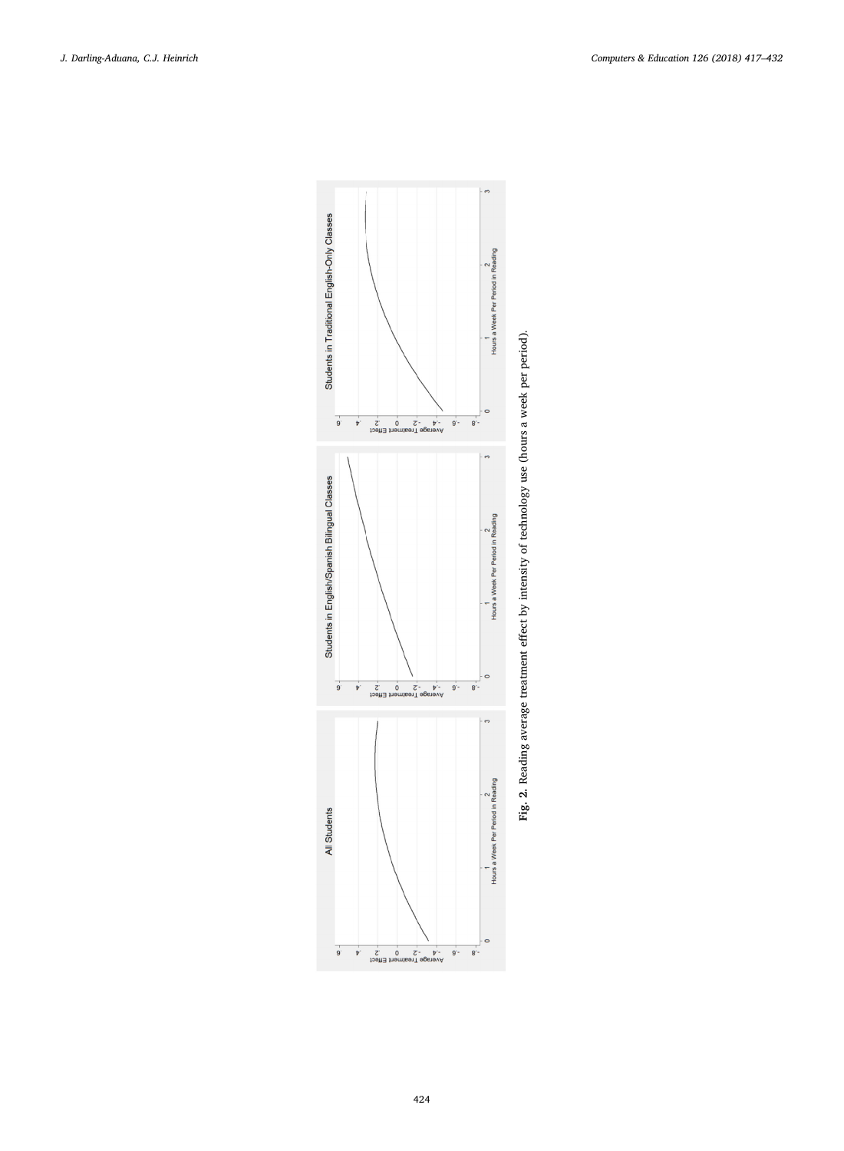<span id="page-7-0"></span>

Fig. 2. Reading average treatment effect by intensity of technology use (hours a week per period). ffect by intensity of technology use (hours a week per period). Fig. 2. Reading average treatment e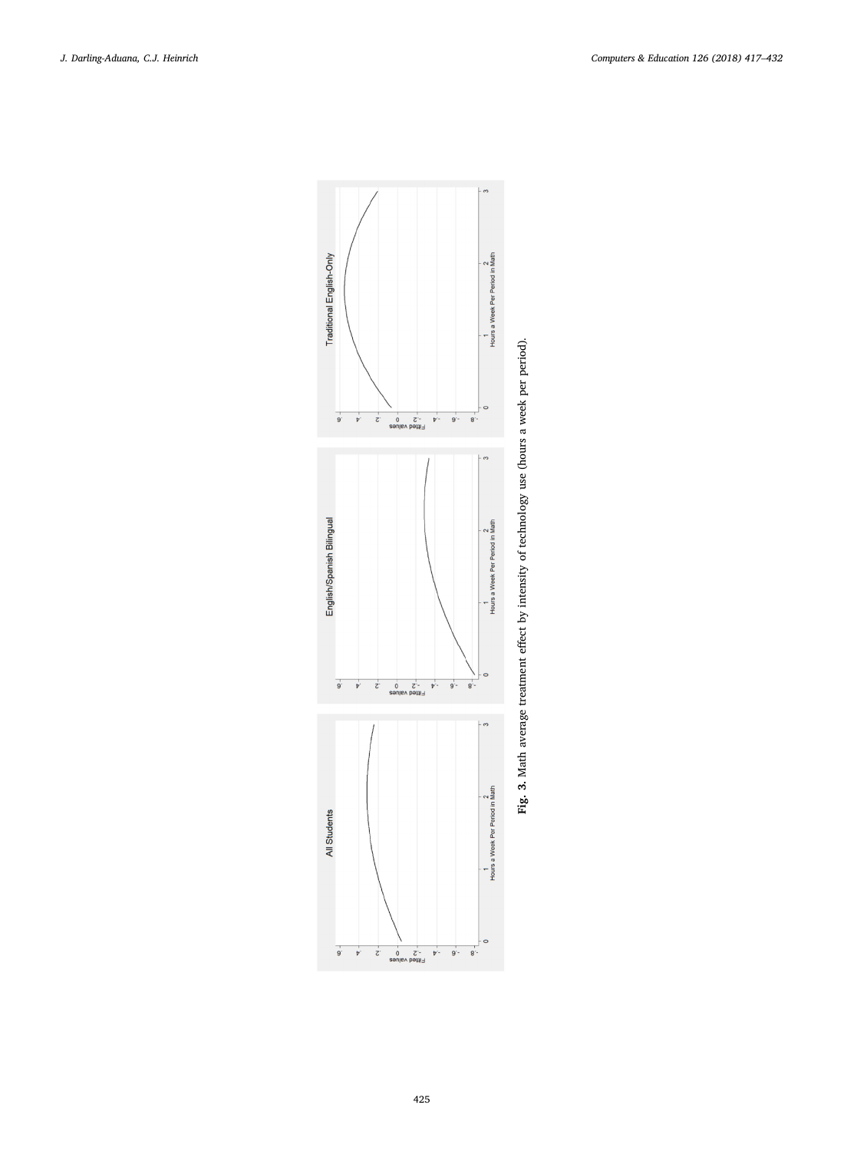

Fig. 3. Math average treatment effect by intensity of technology use (hours a week per period). ffect by intensity of technology use (hours a week per period). Fig. 3. Math average treatment e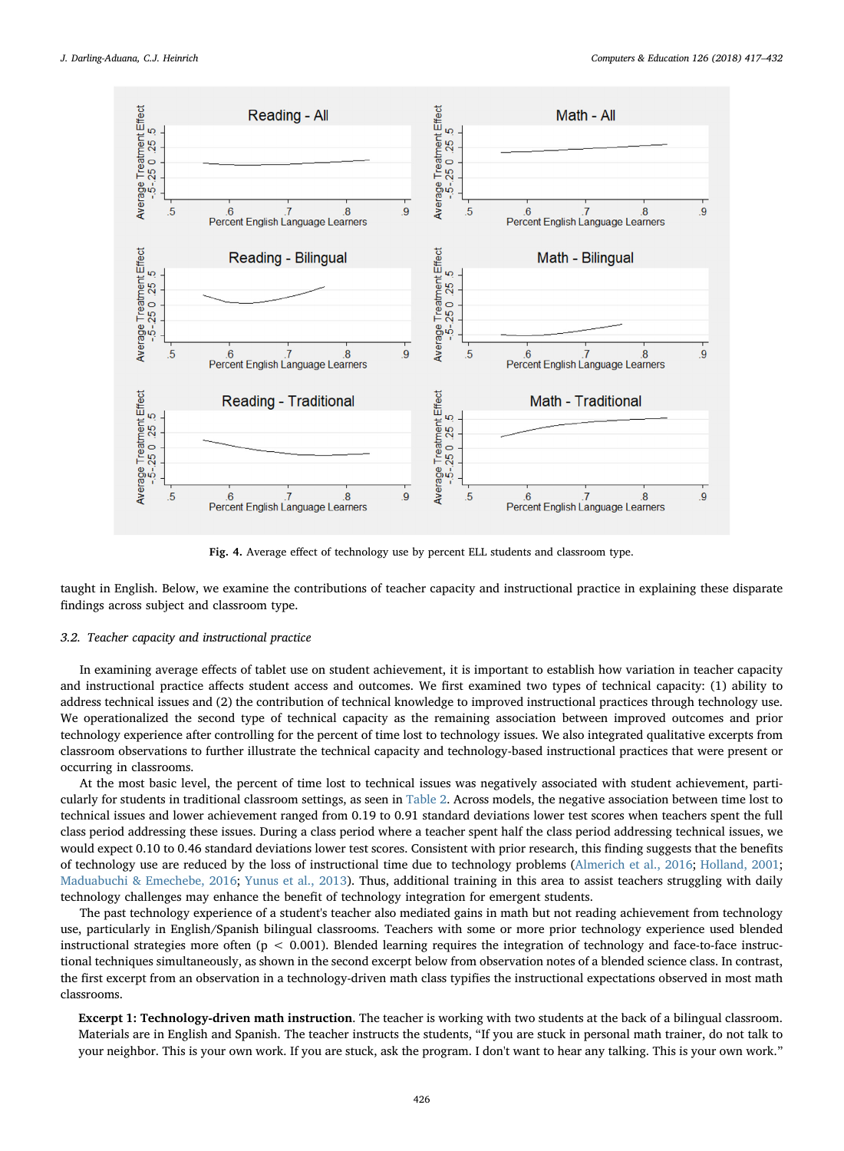<span id="page-9-0"></span>

Fig. 4. Average effect of technology use by percent ELL students and classroom type.

taught in English. Below, we examine the contributions of teacher capacity and instructional practice in explaining these disparate findings across subject and classroom type.

#### 3.2. Teacher capacity and instructional practice

In examining average effects of tablet use on student achievement, it is important to establish how variation in teacher capacity and instructional practice affects student access and outcomes. We first examined two types of technical capacity: (1) ability to address technical issues and (2) the contribution of technical knowledge to improved instructional practices through technology use. We operationalized the second type of technical capacity as the remaining association between improved outcomes and prior technology experience after controlling for the percent of time lost to technology issues. We also integrated qualitative excerpts from classroom observations to further illustrate the technical capacity and technology-based instructional practices that were present or occurring in classrooms.

At the most basic level, the percent of time lost to technical issues was negatively associated with student achievement, particularly for students in traditional classroom settings, as seen in [Table 2](#page-10-0). Across models, the negative association between time lost to technical issues and lower achievement ranged from 0.19 to 0.91 standard deviations lower test scores when teachers spent the full class period addressing these issues. During a class period where a teacher spent half the class period addressing technical issues, we would expect 0.10 to 0.46 standard deviations lower test scores. Consistent with prior research, this finding suggests that the benefits of technology use are reduced by the loss of instructional time due to technology problems [\(Almerich et al., 2016](#page-14-6); [Holland, 2001;](#page-14-8) [Maduabuchi & Emechebe, 2016;](#page-15-6) [Yunus et al., 2013\)](#page-15-7). Thus, additional training in this area to assist teachers struggling with daily technology challenges may enhance the benefit of technology integration for emergent students.

The past technology experience of a student's teacher also mediated gains in math but not reading achievement from technology use, particularly in English/Spanish bilingual classrooms. Teachers with some or more prior technology experience used blended instructional strategies more often ( $p < 0.001$ ). Blended learning requires the integration of technology and face-to-face instructional techniques simultaneously, as shown in the second excerpt below from observation notes of a blended science class. In contrast, the first excerpt from an observation in a technology-driven math class typifies the instructional expectations observed in most math classrooms.

Excerpt 1: Technology-driven math instruction. The teacher is working with two students at the back of a bilingual classroom. Materials are in English and Spanish. The teacher instructs the students, "If you are stuck in personal math trainer, do not talk to your neighbor. This is your own work. If you are stuck, ask the program. I don't want to hear any talking. This is your own work."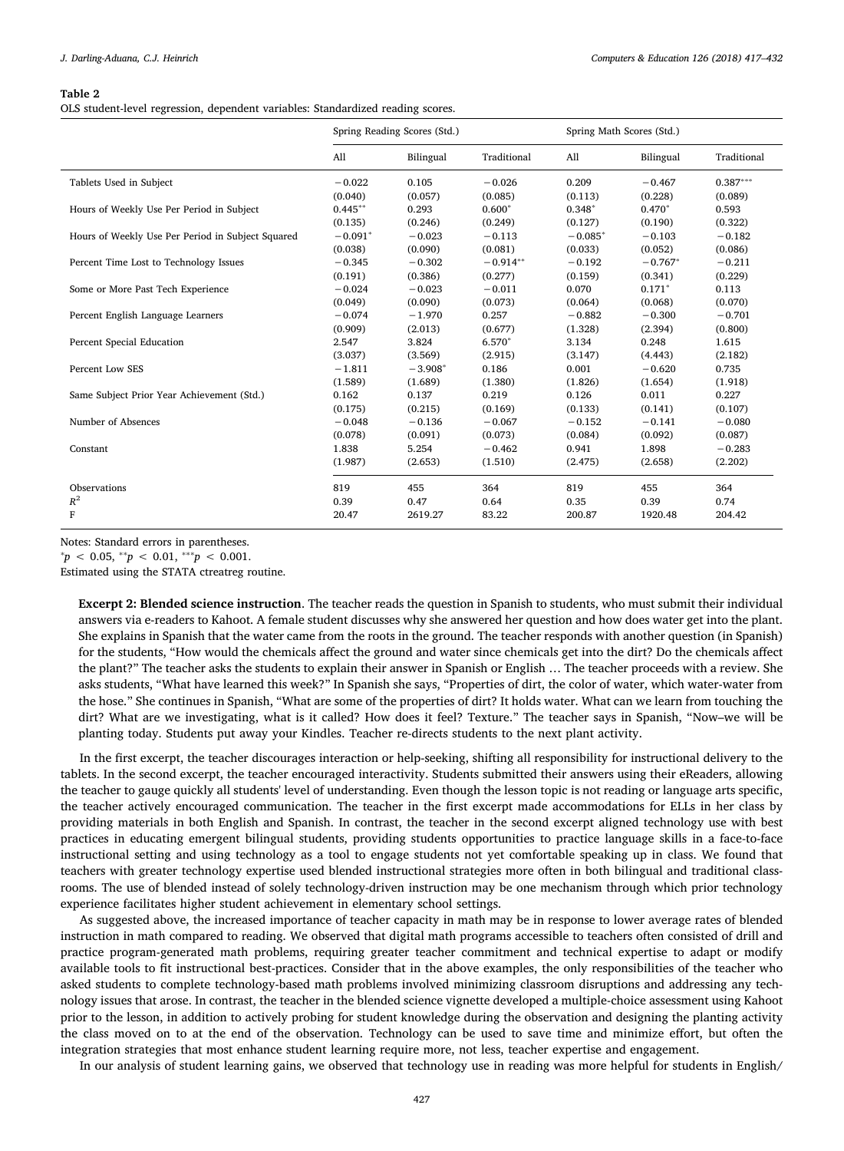#### <span id="page-10-0"></span>Table 2

OLS student-level regression, dependent variables: Standardized reading scores.

|                                                   | Spring Reading Scores (Std.) |           |             | Spring Math Scores (Std.) |           |             |
|---------------------------------------------------|------------------------------|-----------|-------------|---------------------------|-----------|-------------|
|                                                   | All                          | Bilingual | Traditional | All                       | Bilingual | Traditional |
| Tablets Used in Subject                           | $-0.022$                     | 0.105     | $-0.026$    | 0.209                     | $-0.467$  | $0.387***$  |
|                                                   | (0.040)                      | (0.057)   | (0.085)     | (0.113)                   | (0.228)   | (0.089)     |
| Hours of Weekly Use Per Period in Subject         | $0.445***$                   | 0.293     | $0.600*$    | $0.348*$                  | $0.470*$  | 0.593       |
|                                                   | (0.135)                      | (0.246)   | (0.249)     | (0.127)                   | (0.190)   | (0.322)     |
| Hours of Weekly Use Per Period in Subject Squared | $-0.091*$                    | $-0.023$  | $-0.113$    | $-0.085*$                 | $-0.103$  | $-0.182$    |
|                                                   | (0.038)                      | (0.090)   | (0.081)     | (0.033)                   | (0.052)   | (0.086)     |
| Percent Time Lost to Technology Issues            | $-0.345$                     | $-0.302$  | $-0.914**$  | $-0.192$                  | $-0.767*$ | $-0.211$    |
|                                                   | (0.191)                      | (0.386)   | (0.277)     | (0.159)                   | (0.341)   | (0.229)     |
| Some or More Past Tech Experience                 | $-0.024$                     | $-0.023$  | $-0.011$    | 0.070                     | $0.171*$  | 0.113       |
|                                                   | (0.049)                      | (0.090)   | (0.073)     | (0.064)                   | (0.068)   | (0.070)     |
| Percent English Language Learners                 | $-0.074$                     | $-1.970$  | 0.257       | $-0.882$                  | $-0.300$  | $-0.701$    |
|                                                   | (0.909)                      | (2.013)   | (0.677)     | (1.328)                   | (2.394)   | (0.800)     |
| Percent Special Education                         | 2.547                        | 3.824     | 6.570*      | 3.134                     | 0.248     | 1.615       |
|                                                   | (3.037)                      | (3.569)   | (2.915)     | (3.147)                   | (4.443)   | (2.182)     |
| Percent Low SES                                   | $-1.811$                     | $-3.908*$ | 0.186       | 0.001                     | $-0.620$  | 0.735       |
|                                                   | (1.589)                      | (1.689)   | (1.380)     | (1.826)                   | (1.654)   | (1.918)     |
| Same Subject Prior Year Achievement (Std.)        | 0.162                        | 0.137     | 0.219       | 0.126                     | 0.011     | 0.227       |
|                                                   | (0.175)                      | (0.215)   | (0.169)     | (0.133)                   | (0.141)   | (0.107)     |
| Number of Absences                                | $-0.048$                     | $-0.136$  | $-0.067$    | $-0.152$                  | $-0.141$  | $-0.080$    |
|                                                   | (0.078)                      | (0.091)   | (0.073)     | (0.084)                   | (0.092)   | (0.087)     |
| Constant                                          | 1.838                        | 5.254     | $-0.462$    | 0.941                     | 1.898     | $-0.283$    |
|                                                   | (1.987)                      | (2.653)   | (1.510)     | (2.475)                   | (2.658)   | (2.202)     |
| Observations                                      | 819                          | 455       | 364         | 819                       | 455       | 364         |
| $R^2$                                             | 0.39                         | 0.47      | 0.64        | 0.35                      | 0.39      | 0.74        |
| F                                                 | 20.47                        | 2619.27   | 83.22       | 200.87                    | 1920.48   | 204.42      |

Notes: Standard errors in parentheses.

 ${}^*p$  < 0.05,  ${}^*p$  < 0.01,  ${}^{***p}$  < 0.001.

Estimated using the STATA ctreatreg routine.

Excerpt 2: Blended science instruction. The teacher reads the question in Spanish to students, who must submit their individual answers via e-readers to Kahoot. A female student discusses why she answered her question and how does water get into the plant. She explains in Spanish that the water came from the roots in the ground. The teacher responds with another question (in Spanish) for the students, "How would the chemicals affect the ground and water since chemicals get into the dirt? Do the chemicals affect the plant?" The teacher asks the students to explain their answer in Spanish or English … The teacher proceeds with a review. She asks students, "What have learned this week?" In Spanish she says, "Properties of dirt, the color of water, which water-water from the hose." She continues in Spanish, "What are some of the properties of dirt? It holds water. What can we learn from touching the dirt? What are we investigating, what is it called? How does it feel? Texture." The teacher says in Spanish, "Now–we will be planting today. Students put away your Kindles. Teacher re-directs students to the next plant activity.

In the first excerpt, the teacher discourages interaction or help-seeking, shifting all responsibility for instructional delivery to the tablets. In the second excerpt, the teacher encouraged interactivity. Students submitted their answers using their eReaders, allowing the teacher to gauge quickly all students' level of understanding. Even though the lesson topic is not reading or language arts specific, the teacher actively encouraged communication. The teacher in the first excerpt made accommodations for ELLs in her class by providing materials in both English and Spanish. In contrast, the teacher in the second excerpt aligned technology use with best practices in educating emergent bilingual students, providing students opportunities to practice language skills in a face-to-face instructional setting and using technology as a tool to engage students not yet comfortable speaking up in class. We found that teachers with greater technology expertise used blended instructional strategies more often in both bilingual and traditional classrooms. The use of blended instead of solely technology-driven instruction may be one mechanism through which prior technology experience facilitates higher student achievement in elementary school settings.

As suggested above, the increased importance of teacher capacity in math may be in response to lower average rates of blended instruction in math compared to reading. We observed that digital math programs accessible to teachers often consisted of drill and practice program-generated math problems, requiring greater teacher commitment and technical expertise to adapt or modify available tools to fit instructional best-practices. Consider that in the above examples, the only responsibilities of the teacher who asked students to complete technology-based math problems involved minimizing classroom disruptions and addressing any technology issues that arose. In contrast, the teacher in the blended science vignette developed a multiple-choice assessment using Kahoot prior to the lesson, in addition to actively probing for student knowledge during the observation and designing the planting activity the class moved on to at the end of the observation. Technology can be used to save time and minimize effort, but often the integration strategies that most enhance student learning require more, not less, teacher expertise and engagement.

In our analysis of student learning gains, we observed that technology use in reading was more helpful for students in English/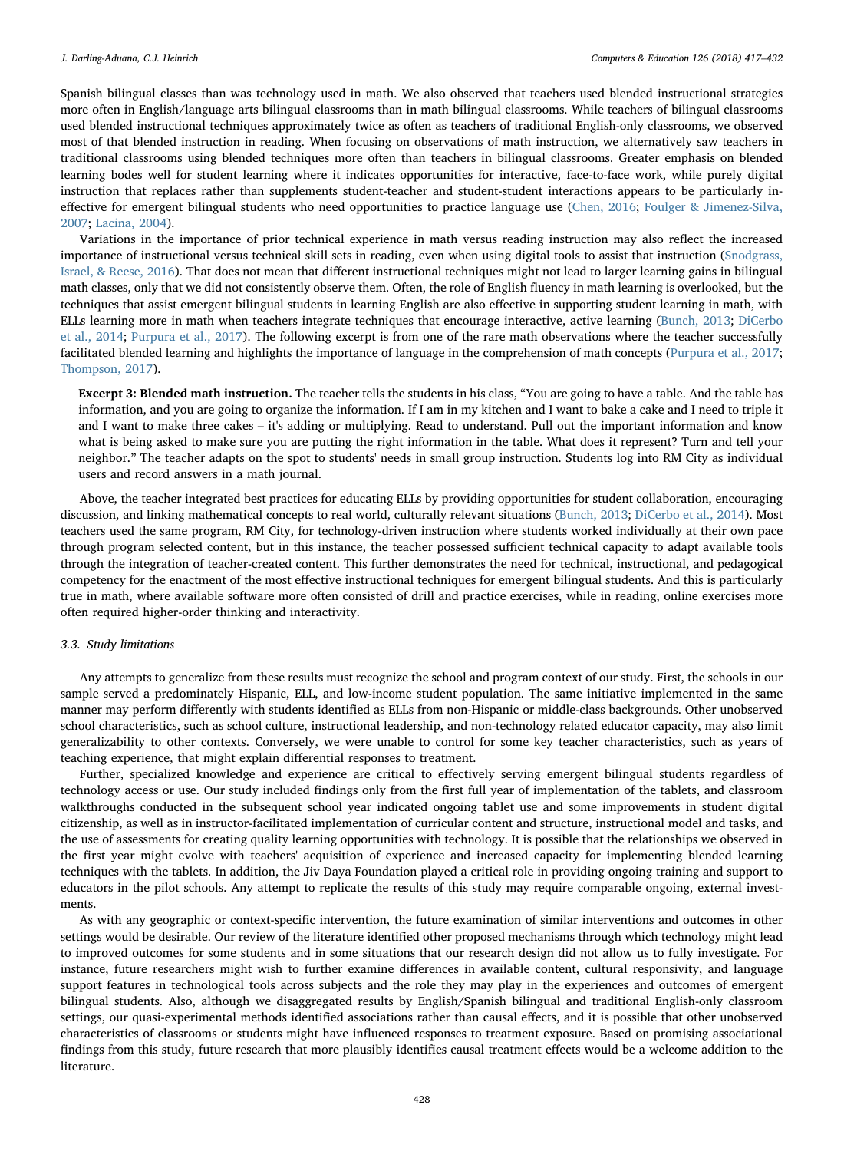Spanish bilingual classes than was technology used in math. We also observed that teachers used blended instructional strategies more often in English/language arts bilingual classrooms than in math bilingual classrooms. While teachers of bilingual classrooms used blended instructional techniques approximately twice as often as teachers of traditional English-only classrooms, we observed most of that blended instruction in reading. When focusing on observations of math instruction, we alternatively saw teachers in traditional classrooms using blended techniques more often than teachers in bilingual classrooms. Greater emphasis on blended learning bodes well for student learning where it indicates opportunities for interactive, face-to-face work, while purely digital instruction that replaces rather than supplements student-teacher and student-student interactions appears to be particularly ineffective for emergent bilingual students who need opportunities to practice language use [\(Chen, 2016;](#page-14-3) [Foulger & Jimenez-Silva,](#page-14-4) [2007;](#page-14-4) [Lacina, 2004\)](#page-15-8).

Variations in the importance of prior technical experience in math versus reading instruction may also reflect the increased importance of instructional versus technical skill sets in reading, even when using digital tools to assist that instruction ([Snodgrass,](#page-15-9) [Israel, & Reese, 2016\)](#page-15-9). That does not mean that different instructional techniques might not lead to larger learning gains in bilingual math classes, only that we did not consistently observe them. Often, the role of English fluency in math learning is overlooked, but the techniques that assist emergent bilingual students in learning English are also effective in supporting student learning in math, with ELLs learning more in math when teachers integrate techniques that encourage interactive, active learning ([Bunch, 2013;](#page-14-14) [DiCerbo](#page-14-15) [et al., 2014;](#page-14-15) [Purpura et al., 2017\)](#page-15-12). The following excerpt is from one of the rare math observations where the teacher successfully facilitated blended learning and highlights the importance of language in the comprehension of math concepts ([Purpura et al., 2017;](#page-15-12) [Thompson, 2017\)](#page-15-13).

Excerpt 3: Blended math instruction. The teacher tells the students in his class, "You are going to have a table. And the table has information, and you are going to organize the information. If I am in my kitchen and I want to bake a cake and I need to triple it and I want to make three cakes – it's adding or multiplying. Read to understand. Pull out the important information and know what is being asked to make sure you are putting the right information in the table. What does it represent? Turn and tell your neighbor." The teacher adapts on the spot to students' needs in small group instruction. Students log into RM City as individual users and record answers in a math journal.

Above, the teacher integrated best practices for educating ELLs by providing opportunities for student collaboration, encouraging discussion, and linking mathematical concepts to real world, culturally relevant situations ([Bunch, 2013](#page-14-14); [DiCerbo et al., 2014\)](#page-14-15). Most teachers used the same program, RM City, for technology-driven instruction where students worked individually at their own pace through program selected content, but in this instance, the teacher possessed sufficient technical capacity to adapt available tools through the integration of teacher-created content. This further demonstrates the need for technical, instructional, and pedagogical competency for the enactment of the most effective instructional techniques for emergent bilingual students. And this is particularly true in math, where available software more often consisted of drill and practice exercises, while in reading, online exercises more often required higher-order thinking and interactivity.

## 3.3. Study limitations

Any attempts to generalize from these results must recognize the school and program context of our study. First, the schools in our sample served a predominately Hispanic, ELL, and low-income student population. The same initiative implemented in the same manner may perform differently with students identified as ELLs from non-Hispanic or middle-class backgrounds. Other unobserved school characteristics, such as school culture, instructional leadership, and non-technology related educator capacity, may also limit generalizability to other contexts. Conversely, we were unable to control for some key teacher characteristics, such as years of teaching experience, that might explain differential responses to treatment.

Further, specialized knowledge and experience are critical to effectively serving emergent bilingual students regardless of technology access or use. Our study included findings only from the first full year of implementation of the tablets, and classroom walkthroughs conducted in the subsequent school year indicated ongoing tablet use and some improvements in student digital citizenship, as well as in instructor-facilitated implementation of curricular content and structure, instructional model and tasks, and the use of assessments for creating quality learning opportunities with technology. It is possible that the relationships we observed in the first year might evolve with teachers' acquisition of experience and increased capacity for implementing blended learning techniques with the tablets. In addition, the Jiv Daya Foundation played a critical role in providing ongoing training and support to educators in the pilot schools. Any attempt to replicate the results of this study may require comparable ongoing, external investments.

As with any geographic or context-specific intervention, the future examination of similar interventions and outcomes in other settings would be desirable. Our review of the literature identified other proposed mechanisms through which technology might lead to improved outcomes for some students and in some situations that our research design did not allow us to fully investigate. For instance, future researchers might wish to further examine differences in available content, cultural responsivity, and language support features in technological tools across subjects and the role they may play in the experiences and outcomes of emergent bilingual students. Also, although we disaggregated results by English/Spanish bilingual and traditional English-only classroom settings, our quasi-experimental methods identified associations rather than causal effects, and it is possible that other unobserved characteristics of classrooms or students might have influenced responses to treatment exposure. Based on promising associational findings from this study, future research that more plausibly identifies causal treatment effects would be a welcome addition to the literature.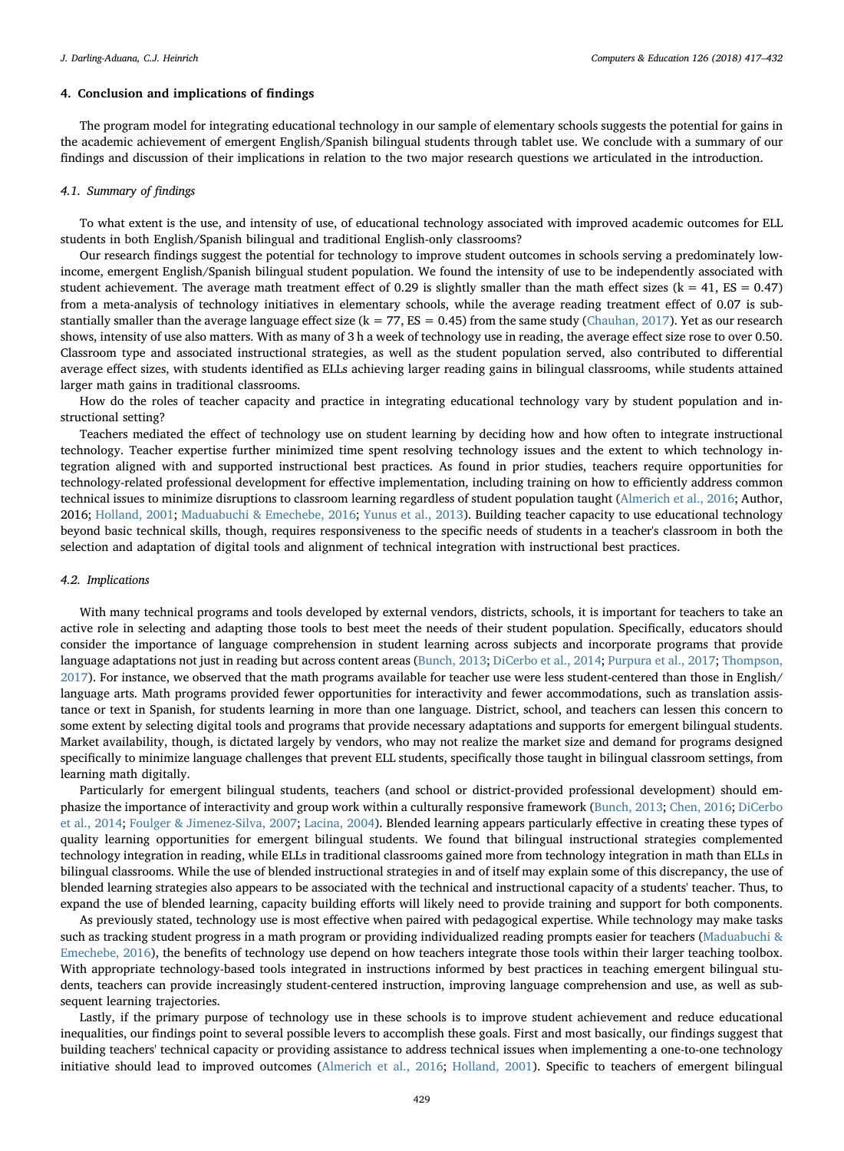## 4. Conclusion and implications of findings

The program model for integrating educational technology in our sample of elementary schools suggests the potential for gains in the academic achievement of emergent English/Spanish bilingual students through tablet use. We conclude with a summary of our findings and discussion of their implications in relation to the two major research questions we articulated in the introduction.

#### 4.1. Summary of findings

To what extent is the use, and intensity of use, of educational technology associated with improved academic outcomes for ELL students in both English/Spanish bilingual and traditional English-only classrooms?

Our research findings suggest the potential for technology to improve student outcomes in schools serving a predominately lowincome, emergent English/Spanish bilingual student population. We found the intensity of use to be independently associated with student achievement. The average math treatment effect of 0.29 is slightly smaller than the math effect sizes ( $k = 41$ ,  $ES = 0.47$ ) from a meta-analysis of technology initiatives in elementary schools, while the average reading treatment effect of 0.07 is substantially smaller than the average language effect size ( $k = 77$ ,  $ES = 0.45$ ) from the same study ([Chauhan, 2017](#page-14-21)). Yet as our research shows, intensity of use also matters. With as many of 3 h a week of technology use in reading, the average effect size rose to over 0.50. Classroom type and associated instructional strategies, as well as the student population served, also contributed to differential average effect sizes, with students identified as ELLs achieving larger reading gains in bilingual classrooms, while students attained larger math gains in traditional classrooms.

How do the roles of teacher capacity and practice in integrating educational technology vary by student population and instructional setting?

Teachers mediated the effect of technology use on student learning by deciding how and how often to integrate instructional technology. Teacher expertise further minimized time spent resolving technology issues and the extent to which technology integration aligned with and supported instructional best practices. As found in prior studies, teachers require opportunities for technology-related professional development for effective implementation, including training on how to efficiently address common technical issues to minimize disruptions to classroom learning regardless of student population taught [\(Almerich et al., 2016](#page-14-6); Author, 2016; [Holland, 2001](#page-14-8); [Maduabuchi & Emechebe, 2016;](#page-15-6) [Yunus et al., 2013](#page-15-7)). Building teacher capacity to use educational technology beyond basic technical skills, though, requires responsiveness to the specific needs of students in a teacher's classroom in both the selection and adaptation of digital tools and alignment of technical integration with instructional best practices.

#### 4.2. Implications

With many technical programs and tools developed by external vendors, districts, schools, it is important for teachers to take an active role in selecting and adapting those tools to best meet the needs of their student population. Specifically, educators should consider the importance of language comprehension in student learning across subjects and incorporate programs that provide language adaptations not just in reading but across content areas ([Bunch, 2013](#page-14-14); [DiCerbo et al., 2014](#page-14-15); [Purpura et al., 2017;](#page-15-12) [Thompson,](#page-15-13) [2017\)](#page-15-13). For instance, we observed that the math programs available for teacher use were less student-centered than those in English/ language arts. Math programs provided fewer opportunities for interactivity and fewer accommodations, such as translation assistance or text in Spanish, for students learning in more than one language. District, school, and teachers can lessen this concern to some extent by selecting digital tools and programs that provide necessary adaptations and supports for emergent bilingual students. Market availability, though, is dictated largely by vendors, who may not realize the market size and demand for programs designed specifically to minimize language challenges that prevent ELL students, specifically those taught in bilingual classroom settings, from learning math digitally.

Particularly for emergent bilingual students, teachers (and school or district-provided professional development) should emphasize the importance of interactivity and group work within a culturally responsive framework ([Bunch, 2013;](#page-14-14) [Chen, 2016](#page-14-3); [DiCerbo](#page-14-15) [et al., 2014](#page-14-15); Foulger [& Jimenez-Silva, 2007;](#page-14-4) [Lacina, 2004\)](#page-15-8). Blended learning appears particularly effective in creating these types of quality learning opportunities for emergent bilingual students. We found that bilingual instructional strategies complemented technology integration in reading, while ELLs in traditional classrooms gained more from technology integration in math than ELLs in bilingual classrooms. While the use of blended instructional strategies in and of itself may explain some of this discrepancy, the use of blended learning strategies also appears to be associated with the technical and instructional capacity of a students' teacher. Thus, to expand the use of blended learning, capacity building efforts will likely need to provide training and support for both components.

As previously stated, technology use is most effective when paired with pedagogical expertise. While technology may make tasks such as tracking student progress in a math program or providing individualized reading prompts easier for teachers ([Maduabuchi &](#page-15-6) [Emechebe, 2016](#page-15-6)), the benefits of technology use depend on how teachers integrate those tools within their larger teaching toolbox. With appropriate technology-based tools integrated in instructions informed by best practices in teaching emergent bilingual students, teachers can provide increasingly student-centered instruction, improving language comprehension and use, as well as subsequent learning trajectories.

Lastly, if the primary purpose of technology use in these schools is to improve student achievement and reduce educational inequalities, our findings point to several possible levers to accomplish these goals. First and most basically, our findings suggest that building teachers' technical capacity or providing assistance to address technical issues when implementing a one-to-one technology initiative should lead to improved outcomes ([Almerich et al., 2016](#page-14-6); [Holland, 2001\)](#page-14-8). Specific to teachers of emergent bilingual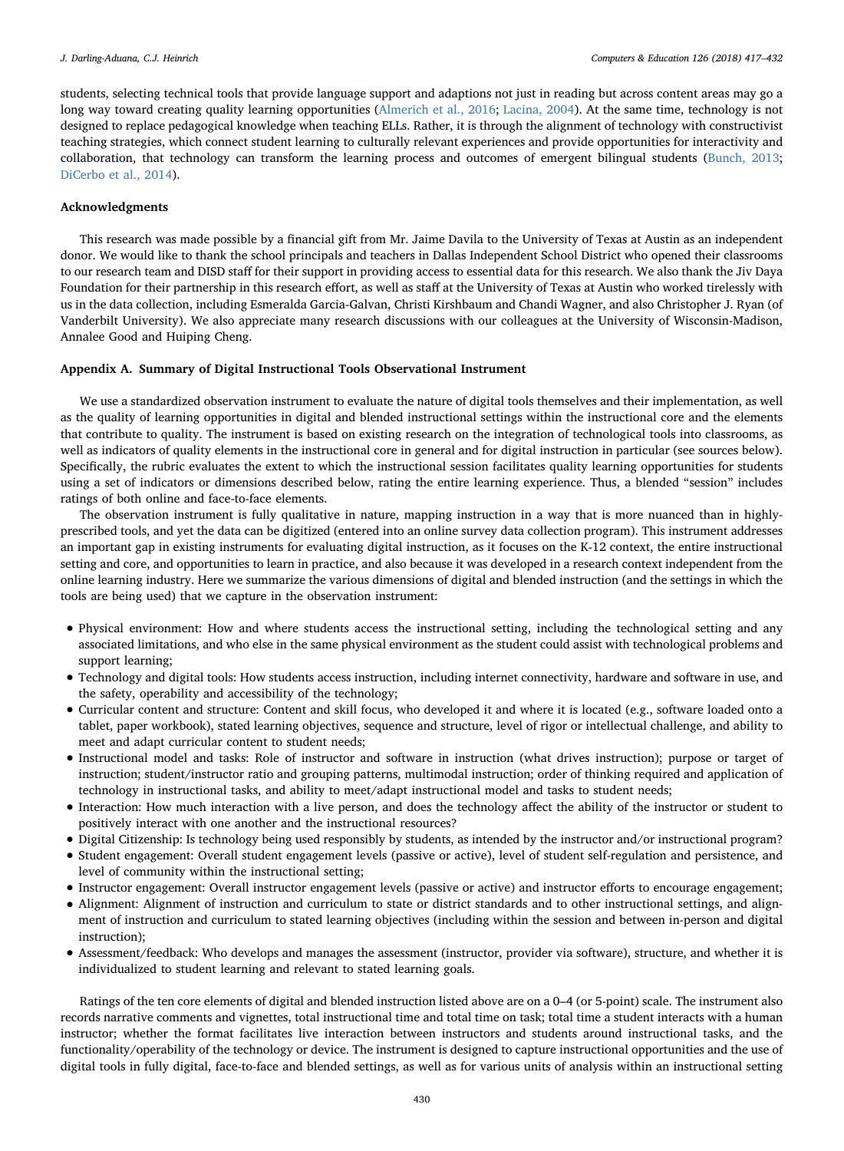students, selecting technical tools that provide language support and adaptions not just in reading but across content areas may go a long way toward creating quality learning opportunities ([Almerich et al., 2016;](#page-14-6) [Lacina, 2004\)](#page-15-8). At the same time, technology is not designed to replace pedagogical knowledge when teaching ELLs. Rather, it is through the alignment of technology with constructivist teaching strategies, which connect student learning to culturally relevant experiences and provide opportunities for interactivity and collaboration, that technology can transform the learning process and outcomes of emergent bilingual students ([Bunch, 2013;](#page-14-14) [DiCerbo et al., 2014](#page-14-15)).

### Acknowledgments

This research was made possible by a financial gift from Mr. Jaime Davila to the University of Texas at Austin as an independent donor. We would like to thank the school principals and teachers in Dallas Independent School District who opened their classrooms to our research team and DISD staff for their support in providing access to essential data for this research. We also thank the Jiv Daya Foundation for their partnership in this research effort, as well as staff at the University of Texas at Austin who worked tirelessly with us in the data collection, including Esmeralda Garcia-Galvan, Christi Kirshbaum and Chandi Wagner, and also Christopher J. Ryan (of Vanderbilt University). We also appreciate many research discussions with our colleagues at the University of Wisconsin-Madison, Annalee Good and Huiping Cheng.

### <span id="page-13-0"></span>Appendix A. Summary of Digital Instructional Tools Observational Instrument

We use a standardized observation instrument to evaluate the nature of digital tools themselves and their implementation, as well as the quality of learning opportunities in digital and blended instructional settings within the instructional core and the elements that contribute to quality. The instrument is based on existing research on the integration of technological tools into classrooms, as well as indicators of quality elements in the instructional core in general and for digital instruction in particular (see sources below). Specifically, the rubric evaluates the extent to which the instructional session facilitates quality learning opportunities for students using a set of indicators or dimensions described below, rating the entire learning experience. Thus, a blended "session" includes ratings of both online and face-to-face elements.

The observation instrument is fully qualitative in nature, mapping instruction in a way that is more nuanced than in highlyprescribed tools, and yet the data can be digitized (entered into an online survey data collection program). This instrument addresses an important gap in existing instruments for evaluating digital instruction, as it focuses on the K-12 context, the entire instructional setting and core, and opportunities to learn in practice, and also because it was developed in a research context independent from the online learning industry. Here we summarize the various dimensions of digital and blended instruction (and the settings in which the tools are being used) that we capture in the observation instrument:

- Physical environment: How and where students access the instructional setting, including the technological setting and any associated limitations, and who else in the same physical environment as the student could assist with technological problems and support learning;
- Technology and digital tools: How students access instruction, including internet connectivity, hardware and software in use, and the safety, operability and accessibility of the technology;
- Curricular content and structure: Content and skill focus, who developed it and where it is located (e.g., software loaded onto a tablet, paper workbook), stated learning objectives, sequence and structure, level of rigor or intellectual challenge, and ability to meet and adapt curricular content to student needs;
- Instructional model and tasks: Role of instructor and software in instruction (what drives instruction); purpose or target of instruction; student/instructor ratio and grouping patterns, multimodal instruction; order of thinking required and application of technology in instructional tasks, and ability to meet/adapt instructional model and tasks to student needs;
- Interaction: How much interaction with a live person, and does the technology affect the ability of the instructor or student to positively interact with one another and the instructional resources?
- Digital Citizenship: Is technology being used responsibly by students, as intended by the instructor and/or instructional program?
- Student engagement: Overall student engagement levels (passive or active), level of student self-regulation and persistence, and level of community within the instructional setting;
- Instructor engagement: Overall instructor engagement levels (passive or active) and instructor efforts to encourage engagement;
- Alignment: Alignment of instruction and curriculum to state or district standards and to other instructional settings, and alignment of instruction and curriculum to stated learning objectives (including within the session and between in-person and digital instruction);
- Assessment/feedback: Who develops and manages the assessment (instructor, provider via software), structure, and whether it is individualized to student learning and relevant to stated learning goals.

Ratings of the ten core elements of digital and blended instruction listed above are on a 0–4 (or 5-point) scale. The instrument also records narrative comments and vignettes, total instructional time and total time on task; total time a student interacts with a human instructor; whether the format facilitates live interaction between instructors and students around instructional tasks, and the functionality/operability of the technology or device. The instrument is designed to capture instructional opportunities and the use of digital tools in fully digital, face-to-face and blended settings, as well as for various units of analysis within an instructional setting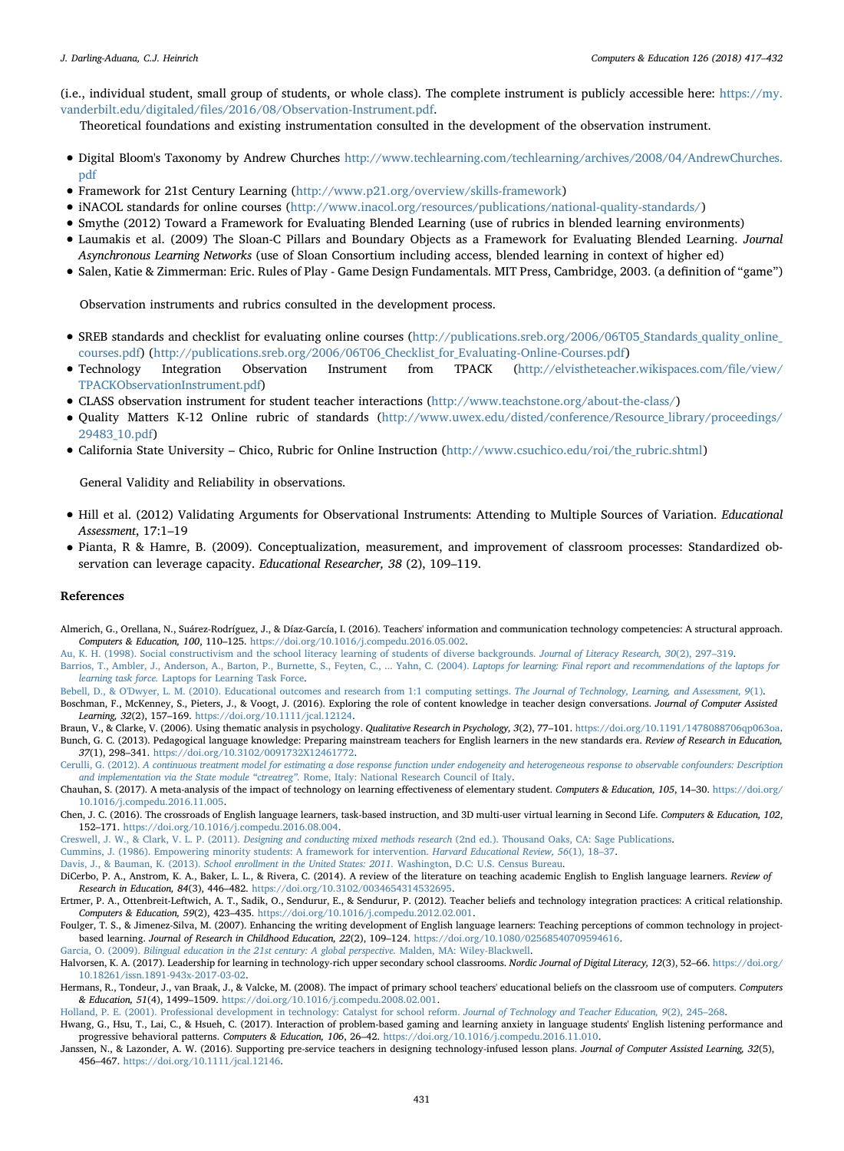(i.e., individual student, small group of students, or whole class). The complete instrument is publicly accessible here: [https://my.](https://my.vanderbilt.edu/digitaled/files/2016/08/Observation-Instrument.pdf) vanderbilt.edu/digitaled/fi[les/2016/08/Observation-Instrument.pdf.](https://my.vanderbilt.edu/digitaled/files/2016/08/Observation-Instrument.pdf)

Theoretical foundations and existing instrumentation consulted in the development of the observation instrument.

- Digital Bloom's Taxonomy by Andrew Churches [http://www.techlearning.com/techlearning/archives/2008/04/AndrewChurches.](http://www.techlearning.com/techlearning/archives/2008/04/AndrewChurches.pdf) [pdf](http://www.techlearning.com/techlearning/archives/2008/04/AndrewChurches.pdf)
- Framework for 21st Century Learning ([http://www.p21.org/overview/skills-framework\)](http://www.p21.org/overview/skills-framework)
- iNACOL standards for online courses [\(http://www.inacol.org/resources/publications/national-quality-standards/](http://www.inacol.org/resources/publications/national-quality-standards/))
- Smythe (2012) Toward a Framework for Evaluating Blended Learning (use of rubrics in blended learning environments)
- Laumakis et al. (2009) The Sloan-C Pillars and Boundary Objects as a Framework for Evaluating Blended Learning. Journal Asynchronous Learning Networks (use of Sloan Consortium including access, blended learning in context of higher ed)
- Salen, Katie & Zimmerman: Eric. Rules of Play Game Design Fundamentals. MIT Press, Cambridge, 2003. (a definition of "game")

Observation instruments and rubrics consulted in the development process.

- SREB standards and checklist for evaluating online courses (http://publications.sreb.org/2006/06T05 Standards quality online [courses.pdf](http://publications.sreb.org/2006/06T05_Standards_quality_online_courses.pdf)) (http://publications.sreb.org/2006/06T06 Checklist for Evaluating-Online-Courses.pdf)
- Technology Integration Observation Instrument from TPACK [\(http://elvistheteacher.wikispaces.com/](http://elvistheteacher.wikispaces.com/file/view/TPACKObservationInstrument.pdf)file/view/ [TPACKObservationInstrument.pdf](http://elvistheteacher.wikispaces.com/file/view/TPACKObservationInstrument.pdf))
- CLASS observation instrument for student teacher interactions [\(http://www.teachstone.org/about-the-class/](http://www.teachstone.org/about-the-class/))
- Quality Matters K-12 Online rubric of standards [\(http://www.uwex.edu/disted/conference/Resource\\_library/proceedings/](http://www.uwex.edu/disted/conference/Resource_library/proceedings/29483_10.pdf) [29483\\_10.pdf\)](http://www.uwex.edu/disted/conference/Resource_library/proceedings/29483_10.pdf)
- California State University Chico, Rubric for Online Instruction [\(http://www.csuchico.edu/roi/the\\_rubric.shtml\)](http://www.csuchico.edu/roi/the_rubric.shtml)

General Validity and Reliability in observations.

- Hill et al. (2012) Validating Arguments for Observational Instruments: Attending to Multiple Sources of Variation. Educational Assessment, 17:1–19
- Pianta, R & Hamre, B. (2009). Conceptualization, measurement, and improvement of classroom processes: Standardized observation can leverage capacity. Educational Researcher, 38 (2), 109–119.

## References

- <span id="page-14-6"></span>Almerich, G., Orellana, N., Suárez-Rodríguez, J., & Díaz-García, I. (2016). Teachers' information and communication technology competencies: A structural approach. Computers & Education, 100, 110–125. <https://doi.org/10.1016/j.compedu.2016.05.002>.
- <span id="page-14-2"></span>[Au, K. H. \(1998\). Social constructivism and the school literacy learning of students of diverse backgrounds.](http://refhub.elsevier.com/S0360-1315(18)30206-9/sref2) Journal of Literacy Research, 30(2), 297–319.
- <span id="page-14-10"></span>[Barrios, T., Ambler, J., Anderson, A., Barton, P., Burnette, S., Feyten, C., ... Yahn, C. \(2004\).](http://refhub.elsevier.com/S0360-1315(18)30206-9/sref3) Laptops for learning: Final report and recommendations of the laptops for learning task force. [Laptops for Learning Task Force](http://refhub.elsevier.com/S0360-1315(18)30206-9/sref3).
- <span id="page-14-11"></span>[Bebell, D., & O'Dwyer, L. M. \(2010\). Educational outcomes and research from 1:1 computing settings.](http://refhub.elsevier.com/S0360-1315(18)30206-9/sref4) The Journal of Technology, Learning, and Assessment, 9(1).
- <span id="page-14-16"></span>Boschman, F., McKenney, S., Pieters, J., & Voogt, J. (2016). Exploring the role of content knowledge in teacher design conversations. Journal of Computer Assisted Learning, 32(2), 157–169. <https://doi.org/10.1111/jcal.12124>.

<span id="page-14-19"></span><span id="page-14-14"></span>Braun, V., & Clarke, V. (2006). Using thematic analysis in psychology. Qualitative Research in Psychology, 3(2), 77-101. <https://doi.org/10.1191/1478088706qp063oa>. Bunch, G. C. (2013). Pedagogical language knowledge: Preparing mainstream teachers for English learners in the new standards era. Review of Research in Education, 37(1), 298–341. [https://doi.org/10.3102/0091732X12461772.](https://doi.org/10.3102/0091732X12461772)

- <span id="page-14-20"></span>Cerulli, G. (2012). [A continuous treatment model for estimating a dose response function under endogeneity and heterogeneous response to observable confounders: Description](http://refhub.elsevier.com/S0360-1315(18)30206-9/sref8) and implementation via the State module "ctreatreg". [Rome, Italy: National Research Council of Italy](http://refhub.elsevier.com/S0360-1315(18)30206-9/sref8).
- <span id="page-14-21"></span>Chauhan, S. (2017). A meta-analysis of the impact of technology on learning effectiveness of elementary student. Computers & Education, 105, 14–30. [https://doi.org/](https://doi.org/10.1016/j.compedu.2016.11.005) [10.1016/j.compedu.2016.11.005](https://doi.org/10.1016/j.compedu.2016.11.005).
- <span id="page-14-3"></span>Chen, J. C. (2016). The crossroads of English language learners, task-based instruction, and 3D multi-user virtual learning in Second Life. Computers & Education, 102, 152–171. <https://doi.org/10.1016/j.compedu.2016.08.004>.
- <span id="page-14-18"></span>Creswell, J. W., & Clark, V. L. P. (2011). Designing and conducting mixed methods research [\(2nd ed.\). Thousand Oaks, CA: Sage Publications.](http://refhub.elsevier.com/S0360-1315(18)30206-9/sref11)

<span id="page-14-1"></span>[Cummins, J. \(1986\). Empowering minority students: A framework for intervention.](http://refhub.elsevier.com/S0360-1315(18)30206-9/sref12) Harvard Educational Review, 56(1), 18–37.

<span id="page-14-0"></span>Davis, J., & Bauman, K. (2013). [School enrollment in the United States: 2011.](http://refhub.elsevier.com/S0360-1315(18)30206-9/sref13) Washington, D.C: U.S. Census Bureau.

- <span id="page-14-15"></span>DiCerbo, P. A., Anstrom, K. A., Baker, L. L., & Rivera, C. (2014). A review of the literature on teaching academic English to English language learners. Review of Research in Education, 84(3), 446–482. [https://doi.org/10.3102/0034654314532695.](https://doi.org/10.3102/0034654314532695)
- <span id="page-14-12"></span>Ertmer, P. A., Ottenbreit-Leftwich, A. T., Sadik, O., Sendurur, E., & Sendurur, P. (2012). Teacher beliefs and technology integration practices: A critical relationship. Computers & Education, 59(2), 423–435. <https://doi.org/10.1016/j.compedu.2012.02.001>.
- <span id="page-14-4"></span>Foulger, T. S., & Jimenez-Silva, M. (2007). Enhancing the writing development of English language learners: Teaching perceptions of common technology in projectbased learning. Journal of Research in Childhood Education, 22(2), 109–124. [https://doi.org/10.1080/02568540709594616.](https://doi.org/10.1080/02568540709594616)

<span id="page-14-7"></span>Garcia, O. (2009). [Bilingual education in the 21st century: A global perspective.](http://refhub.elsevier.com/S0360-1315(18)30206-9/sref17) Malden, MA: Wiley-Blackwell.

<span id="page-14-9"></span>Halvorsen, K. A. (2017). Leadership for learning in technology-rich upper secondary school classrooms. Nordic Journal of Digital Literacy, 12(3), 52-66. [https://doi.org/](https://doi.org/10.18261/issn.1891-943x-2017-03-02) [10.18261/issn.1891-943x-2017-03-02.](https://doi.org/10.18261/issn.1891-943x-2017-03-02)

<span id="page-14-13"></span>Hermans, R., Tondeur, J., van Braak, J., & Valcke, M. (2008). The impact of primary school teachers' educational beliefs on the classroom use of computers. Computers & Education, 51(4), 1499–1509. <https://doi.org/10.1016/j.compedu.2008.02.001>.

<span id="page-14-5"></span>Hwang, G., Hsu, T., Lai, C., & Hsueh, C. (2017). Interaction of problem-based gaming and learning anxiety in language students' English listening performance and progressive behavioral patterns. Computers & Education, 106, 26–42. <https://doi.org/10.1016/j.compedu.2016.11.010>.

<span id="page-14-8"></span>[Holland, P. E. \(2001\). Professional development in technology: Catalyst for school reform.](http://refhub.elsevier.com/S0360-1315(18)30206-9/sref20) Journal of Technology and Teacher Education, 9(2), 245–268.

<span id="page-14-17"></span>Janssen, N., & Lazonder, A. W. (2016). Supporting pre-service teachers in designing technology-infused lesson plans. Journal of Computer Assisted Learning, 32(5), 456–467. <https://doi.org/10.1111/jcal.12146>.